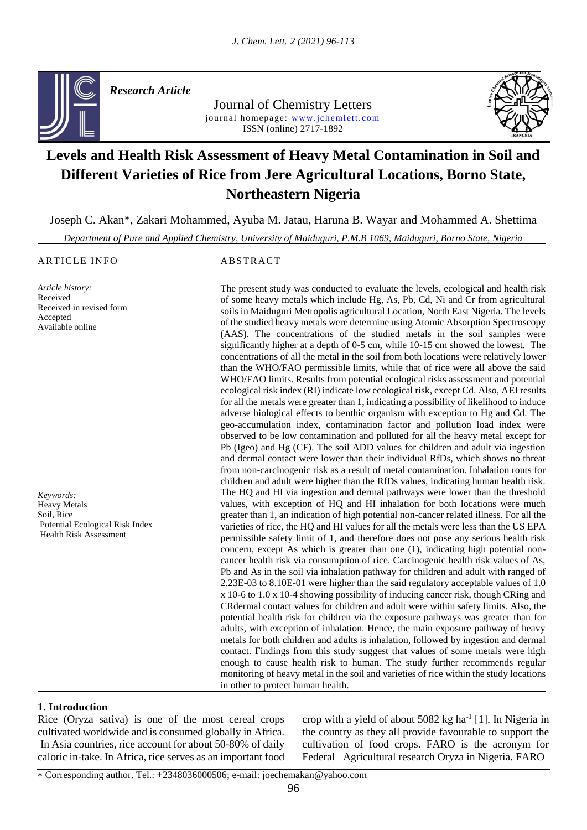

*Research Article* 

Journal of Chemistry Letters journal homepage: www.jchemlett.com ISSN (online) 2717-1892



# **Levels and Health Risk Assessment of Heavy Metal Contamination in Soil and Different Varieties of Rice from Jere Agricultural Locations, Borno State, Northeastern Nigeria**

Joseph C. Akan\*, Zakari Mohammed, Ayuba M. Jatau, Haruna B. Wayar and Mohammed A. Shettima

*Department of Pure and Applied Chemistry, University of Maiduguri, P.M.B 1069, Maiduguri, Borno State, Nigeria*

ARTICLE INFO ABSTRACT

*Article history:* Received

Accepted Available online

*Keywords:* Heavy Metals Soil, Rice

Received in revised form The present study was conducted to evaluate the levels, ecological and health risk of some heavy metals which include Hg, As, Pb, Cd, Ni and Cr from agricultural soils in Maiduguri Metropolis agricultural Location, North East Nigeria. The levels of the studied heavy metals were determine using Atomic Absorption Spectroscopy (AAS). The concentrations of the studied metals in the soil samples were significantly higher at a depth of 0-5 cm, while 10-15 cm showed the lowest. The concentrations of all the metal in the soil from both locations were relatively lower than the WHO/FAO permissible limits, while that of rice were all above the said WHO/FAO limits. Results from potential ecological risks assessment and potential ecological risk index (RI) indicate low ecological risk, except Cd. Also, AEI results for all the metals were greater than 1, indicating a possibility of likelihood to induce adverse biological effects to benthic organism with exception to Hg and Cd. The geo-accumulation index, contamination factor and pollution load index were observed to be low contamination and polluted for all the heavy metal except for Pb (Igeo) and Hg (CF). The soil ADD values for children and adult via ingestion and dermal contact were lower than their individual RfDs, which shows no threat from non-carcinogenic risk as a result of metal contamination. Inhalation routs for children and adult were higher than the RfDs values, indicating human health risk. The HQ and HI via ingestion and dermal pathways were lower than the threshold values, with exception of HQ and HI inhalation for both locations were much greater than 1, an indication of high potential non-cancer related illness. For all the varieties of rice, the HQ and HI values for all the metals were less than the US EPA permissible safety limit of 1, and therefore does not pose any serious health risk concern, except As which is greater than one (1), indicating high potential noncancer health risk via consumption of rice. Carcinogenic health risk values of As, Pb and As in the soil via inhalation pathway for children and adult with ranged of 2.23E-03 to 8.10E-01 were higher than the said regulatory acceptable values of 1.0 x 10-6 to 1.0 x 10-4 showing possibility of inducing cancer risk, though CRing and CRdermal contact values for children and adult were within safety limits. Also, the potential health risk for children via the exposure pathways was greater than for adults, with exception of inhalation. Hence, the main exposure pathway of heavy metals for both children and adults is inhalation, followed by ingestion and dermal contact. Findings from this study suggest that values of some metals were high enough to cause health risk to human. The study further recommends regular monitoring of heavy metal in the soil and varieties of rice within the study locations in other to protect human health. Potential Ecological Risk Index Health Risk Assessment

### **1. Introduction**

Rice (Oryza sativa) is one of the most cereal crops cultivated worldwide and is consumed globally in Africa. In Asia countries, rice account for about 50-80% of daily caloric in-take. In Africa, rice serves as an important food

crop with a yield of about  $5082$  kg ha<sup>-1</sup> [1]. In Nigeria in the country as they all provide favourable to support the cultivation of food crops. FARO is the acronym for Federal Agricultural research Oryza in Nigeria. FARO

Corresponding author. Tel.: +2348036000506; e-mail: joechemakan@yahoo.com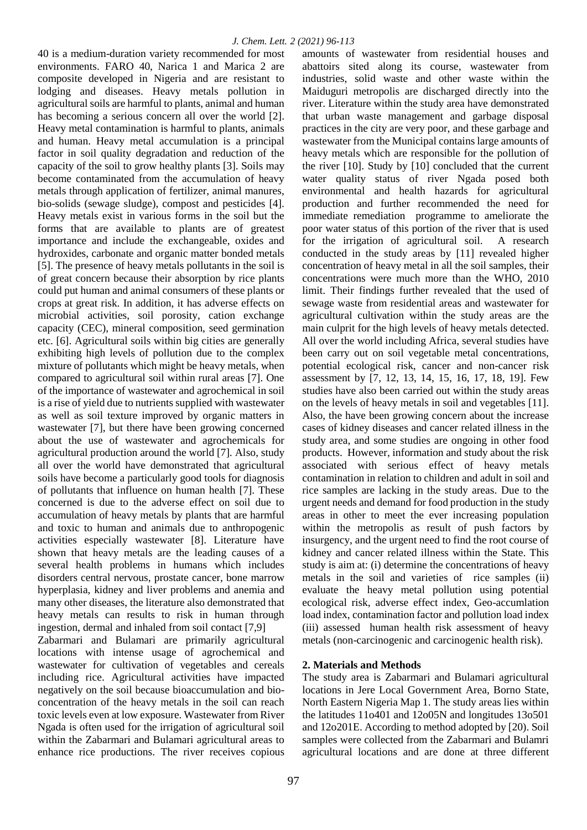40 is a medium-duration variety recommended for most environments. FARO 40, Narica 1 and Marica 2 are composite developed in Nigeria and are resistant to lodging and diseases. Heavy metals pollution in agricultural soils are harmful to plants, animal and human has becoming a serious concern all over the world [2]. Heavy metal contamination is harmful to plants, animals and human. Heavy metal accumulation is a principal factor in soil quality degradation and reduction of the capacity of the soil to grow healthy plants [3]. Soils may become contaminated from the accumulation of heavy metals through application of fertilizer, animal manures, bio-solids (sewage sludge), compost and pesticides [4]. Heavy metals exist in various forms in the soil but the forms that are available to plants are of greatest importance and include the exchangeable, oxides and hydroxides, carbonate and organic matter bonded metals [5]. The presence of heavy metals pollutants in the soil is of great concern because their absorption by rice plants could put human and animal consumers of these plants or crops at great risk. In addition, it has adverse effects on microbial activities, soil porosity, cation exchange capacity (CEC), mineral composition, seed germination etc. [6]. Agricultural soils within big cities are generally exhibiting high levels of pollution due to the complex mixture of pollutants which might be heavy metals, when compared to agricultural soil within rural areas [7]. One of the importance of wastewater and agrochemical in soil is a rise of yield due to nutrients supplied with wastewater as well as soil texture improved by organic matters in wastewater [7], but there have been growing concerned about the use of wastewater and agrochemicals for agricultural production around the world [7]. Also, study all over the world have demonstrated that agricultural soils have become a particularly good tools for diagnosis of pollutants that influence on human health [7]. These concerned is due to the adverse effect on soil due to accumulation of heavy metals by plants that are harmful and toxic to human and animals due to anthropogenic activities especially wastewater [8]. Literature have shown that heavy metals are the leading causes of a several health problems in humans which includes disorders central nervous, prostate cancer, bone marrow hyperplasia, kidney and liver problems and anemia and many other diseases, the literature also demonstrated that heavy metals can results to risk in human through ingestion, dermal and inhaled from soil contact [7,9] Zabarmari and Bulamari are primarily agricultural locations with intense usage of agrochemical and wastewater for cultivation of vegetables and cereals including rice. Agricultural activities have impacted negatively on the soil because bioaccumulation and bioconcentration of the heavy metals in the soil can reach toxic levels even at low exposure. Wastewater from River Ngada is often used for the irrigation of agricultural soil within the Zabarmari and Bulamari agricultural areas to enhance rice productions. The river receives copious

amounts of wastewater from residential houses and abattoirs sited along its course, wastewater from industries, solid waste and other waste within the Maiduguri metropolis are discharged directly into the river. Literature within the study area have demonstrated that urban waste management and garbage disposal practices in the city are very poor, and these garbage and wastewater from the Municipal contains large amounts of heavy metals which are responsible for the pollution of the river [10]. Study by [10] concluded that the current water quality status of river Ngada posed both environmental and health hazards for agricultural production and further recommended the need for immediate remediation programme to ameliorate the poor water status of this portion of the river that is used for the irrigation of agricultural soil. A research conducted in the study areas by [11] revealed higher concentration of heavy metal in all the soil samples, their concentrations were much more than the WHO, 2010 limit. Their findings further revealed that the used of sewage waste from residential areas and wastewater for agricultural cultivation within the study areas are the main culprit for the high levels of heavy metals detected. All over the world including Africa, several studies have been carry out on soil vegetable metal concentrations, potential ecological risk, cancer and non-cancer risk assessment by [7, 12, 13, 14, 15, 16, 17, 18, 19]. Few studies have also been carried out within the study areas on the levels of heavy metals in soil and vegetables [11]. Also, the have been growing concern about the increase cases of kidney diseases and cancer related illness in the study area, and some studies are ongoing in other food products. However, information and study about the risk associated with serious effect of heavy metals contamination in relation to children and adult in soil and rice samples are lacking in the study areas. Due to the urgent needs and demand for food production in the study areas in other to meet the ever increasing population within the metropolis as result of push factors by insurgency, and the urgent need to find the root course of kidney and cancer related illness within the State. This study is aim at: (i) determine the concentrations of heavy metals in the soil and varieties of rice samples (ii) evaluate the heavy metal pollution using potential ecological risk, adverse effect index, Geo-accumlation load index, contamination factor and pollution load index (iii) assessed human health risk assessment of heavy metals (non-carcinogenic and carcinogenic health risk).

# **2. Materials and Methods**

The study area is Zabarmari and Bulamari agricultural locations in Jere Local Government Area, Borno State, North Eastern Nigeria Map 1. The study areas lies within the latitudes 11o401 and 12o05N and longitudes 13o501 and 12o201E. According to method adopted by [20). Soil samples were collected from the Zabarmari and Bulamri agricultural locations and are done at three different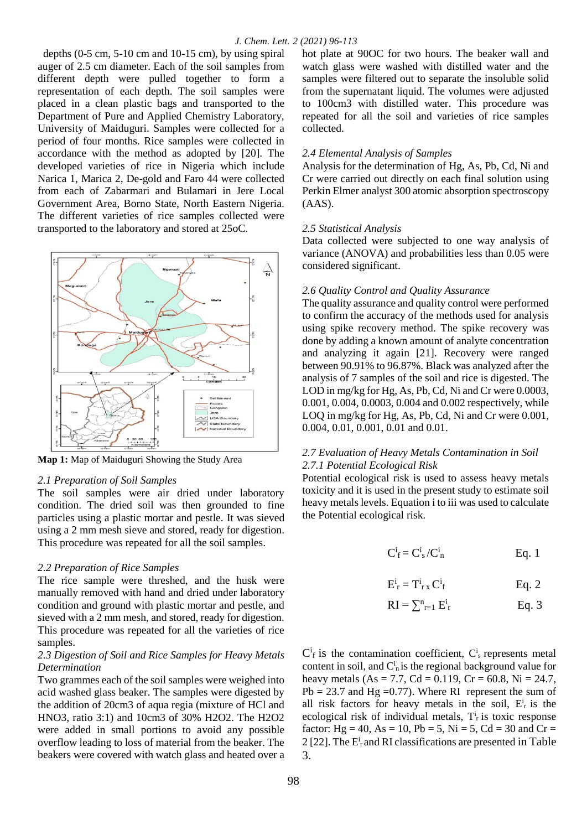depths  $(0-5 \text{ cm}, 5-10 \text{ cm} \text{ and } 10-15 \text{ cm})$ , by using spiral auger of 2.5 cm diameter. Each of the soil samples from different depth were pulled together to form a representation of each depth. The soil samples were placed in a clean plastic bags and transported to the Department of Pure and Applied Chemistry Laboratory, University of Maiduguri. Samples were collected for a period of four months. Rice samples were collected in accordance with the method as adopted by [20]. The developed varieties of rice in Nigeria which include Narica 1, Marica 2, De-gold and Faro 44 were collected from each of Zabarmari and Bulamari in Jere Local Government Area, Borno State, North Eastern Nigeria. The different varieties of rice samples collected were transported to the laboratory and stored at 25oC.



**Map 1:** Map of Maiduguri Showing the Study Area

#### *2.1 Preparation of Soil Samples*

The soil samples were air dried under laboratory condition. The dried soil was then grounded to fine particles using a plastic mortar and pestle. It was sieved using a 2 mm mesh sieve and stored, ready for digestion. This procedure was repeated for all the soil samples.

#### *2.2 Preparation of Rice Samples*

The rice sample were threshed, and the husk were manually removed with hand and dried under laboratory condition and ground with plastic mortar and pestle, and sieved with a 2 mm mesh, and stored, ready for digestion. This procedure was repeated for all the varieties of rice samples.

### *2.3 Digestion of Soil and Rice Samples for Heavy Metals Determination*

Two grammes each of the soil samples were weighed into acid washed glass beaker. The samples were digested by the addition of 20cm3 of aqua regia (mixture of HCl and HNO3, ratio 3:1) and 10cm3 of 30% H2O2. The H2O2 were added in small portions to avoid any possible overflow leading to loss of material from the beaker. The beakers were covered with watch glass and heated over a hot plate at 90OC for two hours. The beaker wall and watch glass were washed with distilled water and the samples were filtered out to separate the insoluble solid from the supernatant liquid. The volumes were adjusted to 100cm3 with distilled water. This procedure was repeated for all the soil and varieties of rice samples collected.

#### *2.4 Elemental Analysis of Samples*

Analysis for the determination of Hg, As, Pb, Cd, Ni and Cr were carried out directly on each final solution using Perkin Elmer analyst 300 atomic absorption spectroscopy  $(AAS)$ .

#### *2.5 Statistical Analysis*

Data collected were subjected to one way analysis of variance (ANOVA) and probabilities less than 0.05 were considered significant.

#### *2.6 Quality Control and Quality Assurance*

The quality assurance and quality control were performed to confirm the accuracy of the methods used for analysis using spike recovery method. The spike recovery was done by adding a known amount of analyte concentration and analyzing it again [21]. Recovery were ranged between 90.91% to 96.87%. Black was analyzed after the analysis of 7 samples of the soil and rice is digested. The LOD in mg/kg for Hg, As, Pb, Cd, Ni and Cr were 0.0003, 0.001, 0.004, 0.0003, 0.004 and 0.002 respectively, while LOQ in mg/kg for Hg, As, Pb, Cd, Ni and Cr were 0.001, 0.004, 0.01, 0.001, 0.01 and 0.01.

### *2.7 Evaluation of Heavy Metals Contamination in Soil 2.7.1 Potential Ecological Risk*

Potential ecological risk is used to assess heavy metals toxicity and it is used in the present study to estimate soil heavy metals levels. Equation i to iii was used to calculate the Potential ecological risk.

$$
C^i_f = C^i_s / C^i_n
$$
 Eq. 1

$$
E_{r}^{i} = T_{rx}^{i} C_{f}^{i}
$$
 Eq. 2

$$
RI = \sum_{r=1}^{n} E_r^i
$$
 Eq. 3

 $C<sup>i</sup>$  f is the contamination coefficient,  $C<sup>i</sup>$  represents metal content in soil, and  $C_n^i$  is the regional background value for heavy metals (As = 7.7, Cd = 0.119, Cr = 60.8, Ni = 24.7,  $Pb = 23.7$  and Hg = 0.77). Where RI represent the sum of all risk factors for heavy metals in the soil,  $E_r^i$  is the ecological risk of individual metals,  $T_r^i$  is toxic response factor:  $Hg = 40$ ,  $As = 10$ ,  $Pb = 5$ ,  $Ni = 5$ ,  $Cd = 30$  and  $Cr =$ 2 [22]. The  $E_r^i$  and RI classifications are presented in Table 3.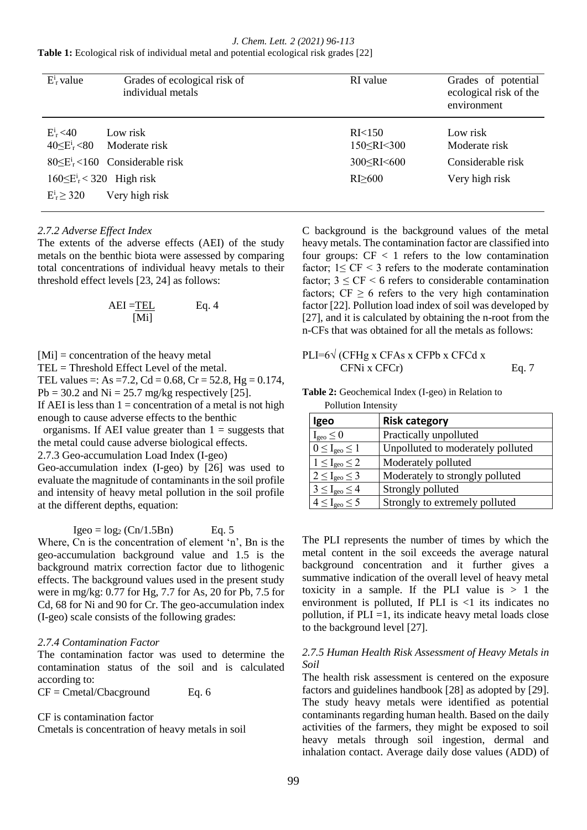*J. Chem. Lett. 2 (2021) 96-113* **Table 1:** Ecological risk of individual metal and potential ecological risk grades [22]

| $E_r^i$ value    | Grades of ecological risk of<br>individual metals | RI value                                               | Grades of potential<br>ecological risk of the<br>environment |
|------------------|---------------------------------------------------|--------------------------------------------------------|--------------------------------------------------------------|
| $E_r^i$ < 40     | Low risk<br>$40\leq E_r^i$ <80 Moderate risk      | R <sub>I</sub> < 150<br>$150 \leq R$ I $\leq$ 300      | Low risk<br>Moderate risk                                    |
|                  | $80\leq E_r^i$ < 160 Considerable risk            | 300 <ri <600<="" td=""><td>Considerable risk</td></ri> | Considerable risk                                            |
| $E_r^i \geq 320$ | $160\leq E_r^i$ < 320 High risk<br>Very high risk | RI > 600                                               | Very high risk                                               |

### *2.7.2 Adverse Effect Index*

The extents of the adverse effects (AEI) of the study metals on the benthic biota were assessed by comparing total concentrations of individual heavy metals to their threshold effect levels [23, 24] as follows:

$$
AEI = \underline{TEL} \qquad Eq. 4
$$
  
[Mi]

[Mi] = concentration of the heavy metal

TEL = Threshold Effect Level of the metal.

TEL values =: As =7.2, Cd = 0.68, Cr = 52.8, Hg =  $0.174$ ,  $Pb = 30.2$  and  $Ni = 25.7$  mg/kg respectively [25]. If AEI is less than  $1 =$  concentration of a metal is not high

enough to cause adverse effects to the benthic

organisms. If AEI value greater than  $1 =$  suggests that the metal could cause adverse biological effects.

2.7.3 Geo-accumulation Load Index (I-geo)

Geo-accumulation index (I-geo) by [26] was used to evaluate the magnitude of contaminants in the soil profile and intensity of heavy metal pollution in the soil profile at the different depths, equation:

 $Igeo = log_2 (Cn/1.5Bn)$  Eq. 5

Where, Cn is the concentration of element 'n', Bn is the geo-accumulation background value and 1.5 is the background matrix correction factor due to lithogenic effects. The background values used in the present study were in mg/kg: 0.77 for Hg, 7.7 for As, 20 for Pb, 7.5 for Cd, 68 for Ni and 90 for Cr. The geo-accumulation index (I-geo) scale consists of the following grades:

### *2.7.4 Contamination Factor*

The contamination factor was used to determine the contamination status of the soil and is calculated according to:

 $CF = Cmetal/Coacground$  Eq. 6

CF is contamination factor

Cmetals is concentration of heavy metals in soil

C background is the background values of the metal heavy metals. The contamination factor are classified into four groups:  $CF < 1$  refers to the low contamination factor:  $1 < C_F < 3$  refers to the moderate contamination factor;  $3 \leq CF \leq 6$  refers to considerable contamination factors;  $CF \ge 6$  refers to the very high contamination factor [22]. Pollution load index of soil was developed by [27], and it is calculated by obtaining the n-root from the n-CFs that was obtained for all the metals as follows:

$$
PLI=6\sqrt{\text{CFHg x CFAs x CFPb x CFCd x}}
$$
\n
$$
CFNi x CFCr
$$
\n
$$
Eq. 7
$$

**Table 2:** Geochemical Index (I-geo) in Relation to Pollution Intensity

| I OHUUUH HIIGHSILY             |                                   |
|--------------------------------|-----------------------------------|
| Igeo                           | <b>Risk category</b>              |
| $I_{geo} \leq 0$               | Practically unpolluted            |
| $0 \leq I_{\text{geo}} \leq 1$ | Unpolluted to moderately polluted |
| $1 \leq I_{\text{geo}} \leq 2$ | Moderately polluted               |
| $2 \leq I_{\text{geo}} \leq 3$ | Moderately to strongly polluted   |
| $3 \leq I_{\text{geo}} \leq 4$ | Strongly polluted                 |
| $4 \leq I_{\text{geo}} \leq 5$ | Strongly to extremely polluted    |

The PLI represents the number of times by which the metal content in the soil exceeds the average natural background concentration and it further gives a summative indication of the overall level of heavy metal toxicity in a sample. If the PLI value is  $> 1$  the environment is polluted. If PLI is  $\langle$ 1 its indicates no pollution, if  $PLI = 1$ , its indicate heavy metal loads close to the background level [27].

### *2.7.5 Human Health Risk Assessment of Heavy Metals in Soil*

The health risk assessment is centered on the exposure factors and guidelines handbook [28] as adopted by [29]. The study heavy metals were identified as potential contaminants regarding human health. Based on the daily activities of the farmers, they might be exposed to soil heavy metals through soil ingestion, dermal and inhalation contact. Average daily dose values (ADD) of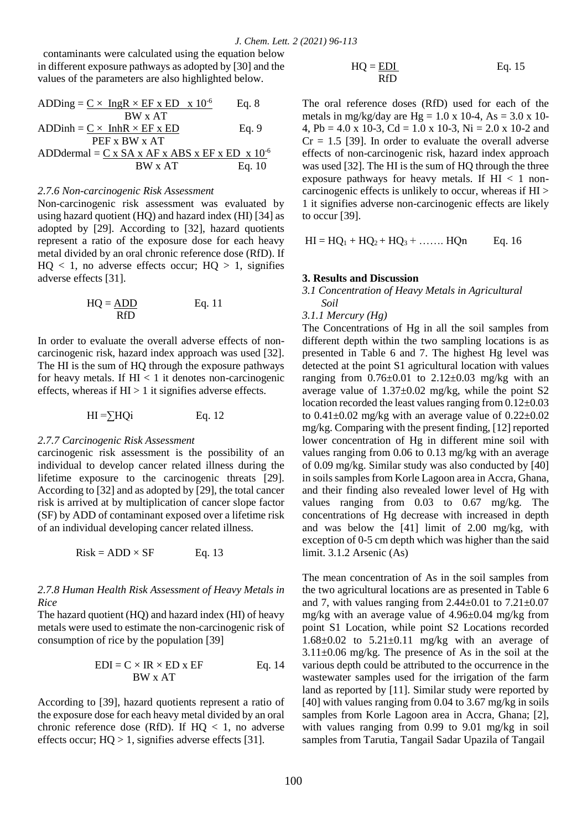contaminants were calculated using the equation below in different exposure pathways as adopted by [30] and the values of the parameters are also highlighted below.

$$
ADDing = \frac{C \times \text{ IngR} \times EF \times ED \times 10^{-6}}{BW \times AT}
$$
 Eq. 8  
ADDinh =  $\frac{C \times \text{InhR} \times EF \times ED}{PEF \times BW \times AT}$  Eq. 9  
ADDdermal =  $\frac{C \times SA \times AF \times ABS \times EF \times ED \times 10^{-6}}{BW \times AT}$  Eq. 10

### *2.7.6 Non-carcinogenic Risk Assessment*

Non-carcinogenic risk assessment was evaluated by using hazard quotient (HQ) and hazard index (HI) [34] as adopted by [29]. According to [32], hazard quotients represent a ratio of the exposure dose for each heavy metal divided by an oral chronic reference dose (RfD). If  $HO < 1$ , no adverse effects occur;  $HO > 1$ , signifies adverse effects [31].

$$
HQ = \frac{ADD}{RfD} \qquad Eq. 11
$$

In order to evaluate the overall adverse effects of noncarcinogenic risk, hazard index approach was used [32]. The HI is the sum of HQ through the exposure pathways for heavy metals. If  $HI < 1$  it denotes non-carcinogenic effects, whereas if  $HI > 1$  it signifies adverse effects.

$$
HI = \sum HQi
$$
 Eq. 12

### *2.7.7 Carcinogenic Risk Assessment*

carcinogenic risk assessment is the possibility of an individual to develop cancer related illness during the lifetime exposure to the carcinogenic threats [29]. According to [32] and as adopted by [29], the total cancer risk is arrived at by multiplication of cancer slope factor (SF) by ADD of contaminant exposed over a lifetime risk of an individual developing cancer related illness.

$$
Risk = ADD \times SF
$$
 Eq. 13

### *2.7.8 Human Health Risk Assessment of Heavy Metals in Rice*

The hazard quotient (HQ) and hazard index (HI) of heavy metals were used to estimate the non-carcinogenic risk of consumption of rice by the population [39]

$$
EDI = C \times IR \times ED \times EF
$$
 Eq. 14  
BW x AT

According to [39], hazard quotients represent a ratio of the exposure dose for each heavy metal divided by an oral chronic reference dose (RfD). If  $HQ < 1$ , no adverse effects occur;  $HO > 1$ , signifies adverse effects [31].

$$
HQ = \frac{EDI}{RfD}
$$
 Eq. 15

The oral reference doses (RfD) used for each of the metals in mg/kg/day are Hg = 1.0 x 10-4, As = 3.0 x 10-4, Pb = 4.0 x 10-3, Cd = 1.0 x 10-3, Ni = 2.0 x 10-2 and  $Cr = 1.5$  [39]. In order to evaluate the overall adverse effects of non-carcinogenic risk, hazard index approach was used [32]. The HI is the sum of HQ through the three exposure pathways for heavy metals. If  $HI < 1$  noncarcinogenic effects is unlikely to occur, whereas if HI > 1 it signifies adverse non-carcinogenic effects are likely to occur [39].

$$
HI = HQ1 + HQ2 + HQ3 + \dots
$$
 
$$
HQn \qquad Eq. 16
$$

#### **3. Results and Discussion**

*3.1 Concentration of Heavy Metals in Agricultural Soil*

*3.1.1 Mercury (Hg)* 

The Concentrations of Hg in all the soil samples from different depth within the two sampling locations is as presented in Table 6 and 7. The highest Hg level was detected at the point S1 agricultural location with values ranging from  $0.76\pm0.01$  to  $2.12\pm0.03$  mg/kg with an average value of  $1.37 \pm 0.02$  mg/kg, while the point S2 location recorded the least values ranging from 0.12±0.03 to  $0.41\pm0.02$  mg/kg with an average value of  $0.22\pm0.02$ mg/kg. Comparing with the present finding, [12] reported lower concentration of Hg in different mine soil with values ranging from 0.06 to 0.13 mg/kg with an average of 0.09 mg/kg. Similar study was also conducted by [40] in soils samples from Korle Lagoon area in Accra, Ghana, and their finding also revealed lower level of Hg with values ranging from 0.03 to 0.67 mg/kg. The concentrations of Hg decrease with increased in depth and was below the [41] limit of 2.00 mg/kg, with exception of 0-5 cm depth which was higher than the said limit. 3.1.2 Arsenic (As)

The mean concentration of As in the soil samples from the two agricultural locations are as presented in Table 6 and 7, with values ranging from  $2.44\pm0.01$  to  $7.21\pm0.07$ mg/kg with an average value of 4.96±0.04 mg/kg from point S1 Location, while point S2 Locations recorded  $1.68\pm0.02$  to  $5.21\pm0.11$  mg/kg with an average of  $3.11\pm0.06$  mg/kg. The presence of As in the soil at the various depth could be attributed to the occurrence in the wastewater samples used for the irrigation of the farm land as reported by [11]. Similar study were reported by [40] with values ranging from 0.04 to 3.67 mg/kg in soils samples from Korle Lagoon area in Accra, Ghana; [2], with values ranging from 0.99 to 9.01 mg/kg in soil samples from Tarutia, Tangail Sadar Upazila of Tangail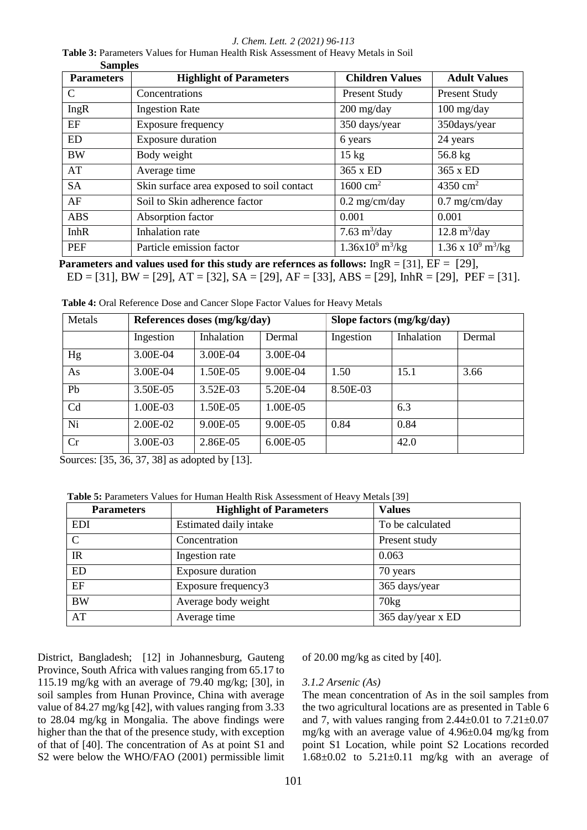*J. Chem. Lett. 2 (2021) 96-113*

 **Table 3:** Parameters Values for Human Health Risk Assessment of Heavy Metals in Soil  **Samples**

| <b>Parameters</b> | <b>Highlight of Parameters</b>            | <b>Children Values</b>            | <b>Adult Values</b>                      |
|-------------------|-------------------------------------------|-----------------------------------|------------------------------------------|
| C                 | Concentrations                            | <b>Present Study</b>              | <b>Present Study</b>                     |
| IngR              | <b>Ingestion Rate</b>                     | $200$ mg/day                      | $100$ mg/day                             |
| EF                | <b>Exposure frequency</b>                 | 350 days/year                     | 350days/year                             |
| <b>ED</b>         | Exposure duration                         | 6 years                           | 24 years                                 |
| <b>BW</b>         | Body weight                               | $15 \text{ kg}$                   | 56.8 kg                                  |
| AT                | Average time                              | 365 x ED                          | 365 x ED                                 |
| <b>SA</b>         | Skin surface area exposed to soil contact | $1600 \text{ cm}^2$               | 4350 $cm2$                               |
| AF                | Soil to Skin adherence factor             | $0.2$ mg/cm/day                   | $0.7$ mg/cm/day                          |
| <b>ABS</b>        | Absorption factor                         | 0.001                             | 0.001                                    |
| <b>InhR</b>       | <b>Inhalation</b> rate                    | 7.63 $m^3$ /day                   | $12.8 \text{ m}^3/\text{day}$            |
| <b>PEF</b>        | Particle emission factor                  | $1.36x10^9 \text{ m}^3/\text{kg}$ | $1.36 \times 10^9 \text{ m}^3/\text{kg}$ |

 **Parameters and values used for this study are refernces as follows:** IngR = [31], EF = [29], ED = [31], BW = [29], AT = [32], SA = [29], AF = [33], ABS = [29], InhR = [29], PEF = [31].

| Metals |           | References doses (mg/kg/day) |          |           | Slope factors (mg/kg/day) |        |
|--------|-----------|------------------------------|----------|-----------|---------------------------|--------|
|        | Ingestion | Inhalation                   | Dermal   | Ingestion | Inhalation                | Dermal |
| Hg     | 3.00E-04  | 3.00E-04                     | 3.00E-04 |           |                           |        |
| As     | 3.00E-04  | 1.50E-05                     | 9.00E-04 | 1.50      | 15.1                      | 3.66   |
| Pb     | 3.50E-05  | 3.52E-03                     | 5.20E-04 | 8.50E-03  |                           |        |
| Cd     | 1.00E-03  | 1.50E-05                     | 1.00E-05 |           | 6.3                       |        |
| Ni     | 2.00E-02  | 9.00E-05                     | 9.00E-05 | 0.84      | 0.84                      |        |
| Cr     | 3.00E-03  | 2.86E-05                     | 6.00E-05 |           | 42.0                      |        |

**Table 4:** Oral Reference Dose and Cancer Slope Factor Values for Heavy Metals

Sources: [35, 36, 37, 38] as adopted by [13].

 **Table 5:** Parameters Values for Human Health Risk Assessment of Heavy Metals [39]

| <b>Parameters</b> | <b>Highlight of Parameters</b> | <b>Values</b>     |
|-------------------|--------------------------------|-------------------|
| <b>EDI</b>        | Estimated daily intake         | To be calculated  |
| $\mathcal{C}$     | Concentration                  | Present study     |
| IR                | Ingestion rate                 | 0.063             |
| <b>ED</b>         | <b>Exposure duration</b>       | 70 years          |
| EF                | Exposure frequency3            | 365 days/year     |
| <b>BW</b>         | Average body weight            | 70kg              |
| AT                | Average time                   | 365 day/year x ED |

District, Bangladesh; [12] in Johannesburg, Gauteng Province, South Africa with values ranging from 65.17 to 115.19 mg/kg with an average of 79.40 mg/kg; [30], in soil samples from Hunan Province, China with average value of 84.27 mg/kg [42], with values ranging from 3.33 to 28.04 mg/kg in Mongalia. The above findings were higher than the that of the presence study, with exception of that of [40]. The concentration of As at point S1 and S2 were below the WHO/FAO (2001) permissible limit

of 20.00 mg/kg as cited by [40].

### *3.1.2 Arsenic (As)*

The mean concentration of As in the soil samples from the two agricultural locations are as presented in Table 6 and 7, with values ranging from  $2.44\pm0.01$  to  $7.21\pm0.07$ mg/kg with an average value of 4.96±0.04 mg/kg from point S1 Location, while point S2 Locations recorded  $1.68\pm0.02$  to  $5.21\pm0.11$  mg/kg with an average of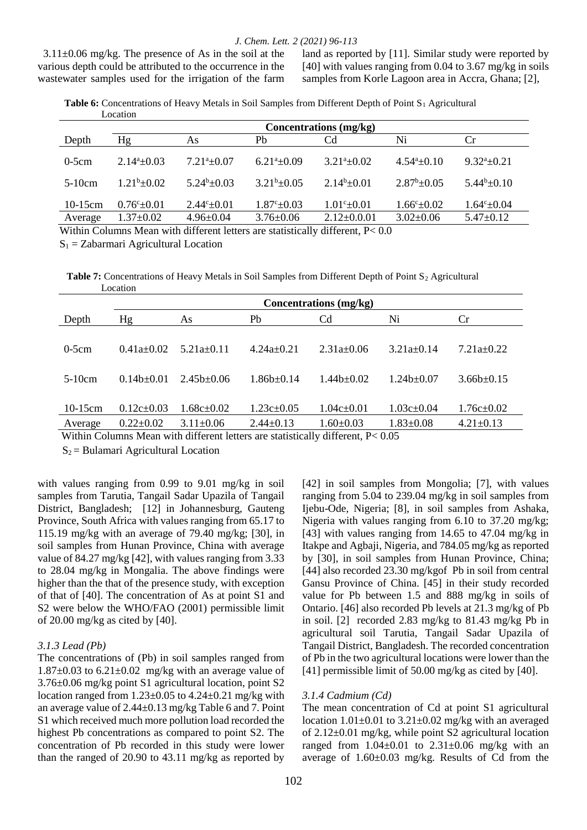$3.11\pm0.06$  mg/kg. The presence of As in the soil at the various depth could be attributed to the occurrence in the wastewater samples used for the irrigation of the farm

land as reported by [11]. Similar study were reported by [40] with values ranging from 0.04 to 3.67 mg/kg in soils samples from Korle Lagoon area in Accra, Ghana; [2],

**Table 6:** Concentrations of Heavy Metals in Soil Samples from Different Depth of Point S<sub>1</sub> Agricultural Location

|                 | <b>Concentrations</b> (mg/kg) |                      |                            |                      |                         |                       |  |  |  |  |
|-----------------|-------------------------------|----------------------|----------------------------|----------------------|-------------------------|-----------------------|--|--|--|--|
| Depth           | Hg                            | As                   | Pb                         | Cd                   | Ni                      | Cr.                   |  |  |  |  |
| $0-5cm$         | $2.14^{\circ}+0.03$           | $7.21^{a} + 0.07$    | $6.21^{\mathrm{a}}\pm0.09$ | $3.21^{a}+0.02$      | $4.54^a \pm 0.10$       | $9.32^{a}+0.21$       |  |  |  |  |
| $5-10cm$        | $1.21b\pm 0.02$               | $5.24^b \pm 0.03$    | $3.21b + 0.05$             | $2.14b + 0.01$       | $2.87^b \pm 0.05$       | $5.44b\pm 0.10$       |  |  |  |  |
| $10-15$ cm      | $0.76^{\circ}$ $\pm$ 0.01     | $2.44^{\circ}$ ±0.01 | $1.87^{\circ}$ ± 0.03      | $1.01^{\circ}$ ±0.01 | $1.66^{\circ} \pm 0.02$ | $1.64^{\circ}$ + 0.04 |  |  |  |  |
| Average         | $1.37 \pm 0.02$               | $4.96 \pm 0.04$      | $3.76 \pm 0.06$            | $2.12 \pm 0.001$     | $3.02 \pm 0.06$         | $5.47 \pm 0.12$       |  |  |  |  |
| <b>**** * *</b> | . .<br>$\sim$ $\sim$          |                      |                            |                      |                         |                       |  |  |  |  |

Within Columns Mean with different letters are statistically different, P< 0.0

 $S_1 = Zabarmari$  Agricultural Location

**Table 7:** Concentrations of Heavy Metals in Soil Samples from Different Depth of Point S<sub>2</sub> Agricultural Location

|            | Concentrations (mg/kg) |                  |                  |                  |                  |                  |  |  |  |  |
|------------|------------------------|------------------|------------------|------------------|------------------|------------------|--|--|--|--|
| Depth      | Hg                     | As               | Pb               | C <sub>d</sub>   | Ni               | Cr               |  |  |  |  |
|            |                        |                  |                  |                  |                  |                  |  |  |  |  |
| $0-5cm$    | $0.41a+0.02$           | $5.21a+0.11$     | $4.24a+0.21$     | $2.31a \pm 0.06$ | $3.21a+0.14$     | $7.21a+0.22$     |  |  |  |  |
|            |                        |                  |                  |                  |                  |                  |  |  |  |  |
| $5-10cm$   | $0.14b+0.01$           | $2.45b \pm 0.06$ | $1.86b \pm 0.14$ | $1.44b+0.02$     | $1.24b \pm 0.07$ | $3.66b \pm 0.15$ |  |  |  |  |
|            |                        |                  |                  |                  |                  |                  |  |  |  |  |
| $10-15$ cm | $0.12c \pm 0.03$       | $1.68c\pm0.02$   | $1.23c \pm 0.05$ | $1.04c \pm 0.01$ | $1.03c \pm 0.04$ | $1.76c \pm 0.02$ |  |  |  |  |
| Average    | $0.22 \pm 0.02$        | $3.11 \pm 0.06$  | $2.44 \pm 0.13$  | $1.60 \pm 0.03$  | $1.83 \pm 0.08$  | $4.21 \pm 0.13$  |  |  |  |  |

Within Columns Mean with different letters are statistically different, P< 0.05

 $S_2$  = Bulamari Agricultural Location

with values ranging from 0.99 to 9.01 mg/kg in soil samples from Tarutia, Tangail Sadar Upazila of Tangail District, Bangladesh; [12] in Johannesburg, Gauteng Province, South Africa with values ranging from 65.17 to 115.19 mg/kg with an average of 79.40 mg/kg; [30], in soil samples from Hunan Province, China with average value of 84.27 mg/kg [42], with values ranging from 3.33 to 28.04 mg/kg in Mongalia. The above findings were higher than the that of the presence study, with exception of that of [40]. The concentration of As at point S1 and S2 were below the WHO/FAO (2001) permissible limit of 20.00 mg/kg as cited by [40].

### *3.1.3 Lead (Pb)*

The concentrations of (Pb) in soil samples ranged from  $1.87\pm0.03$  to  $6.21\pm0.02$  mg/kg with an average value of 3.76±0.06 mg/kg point S1 agricultural location, point S2 location ranged from  $1.23 \pm 0.05$  to  $4.24 \pm 0.21$  mg/kg with an average value of 2.44±0.13 mg/kg Table 6 and 7. Point S1 which received much more pollution load recorded the highest Pb concentrations as compared to point S2. The concentration of Pb recorded in this study were lower than the ranged of 20.90 to 43.11 mg/kg as reported by

[42] in soil samples from Mongolia; [7], with values ranging from 5.04 to 239.04 mg/kg in soil samples from Ijebu-Ode, Nigeria; [8], in soil samples from Ashaka, Nigeria with values ranging from 6.10 to 37.20 mg/kg; [43] with values ranging from 14.65 to 47.04 mg/kg in Itakpe and Agbaji, Nigeria, and 784.05 mg/kg as reported by [30], in soil samples from Hunan Province, China; [44] also recorded 23.30 mg/kgof Pb in soil from central Gansu Province of China. [45] in their study recorded value for Pb between 1.5 and 888 mg/kg in soils of Ontario. [46] also recorded Pb levels at 21.3 mg/kg of Pb in soil. [2] recorded 2.83 mg/kg to 81.43 mg/kg Pb in agricultural soil Tarutia, Tangail Sadar Upazila of Tangail District, Bangladesh. The recorded concentration of Pb in the two agricultural locations were lower than the [41] permissible limit of 50.00 mg/kg as cited by [40].

### *3.1.4 Cadmium (Cd)*

The mean concentration of Cd at point S1 agricultural location  $1.01\pm0.01$  to  $3.21\pm0.02$  mg/kg with an averaged of 2.12±0.01 mg/kg, while point S2 agricultural location ranged from  $1.04 \pm 0.01$  to  $2.31 \pm 0.06$  mg/kg with an average of 1.60±0.03 mg/kg. Results of Cd from the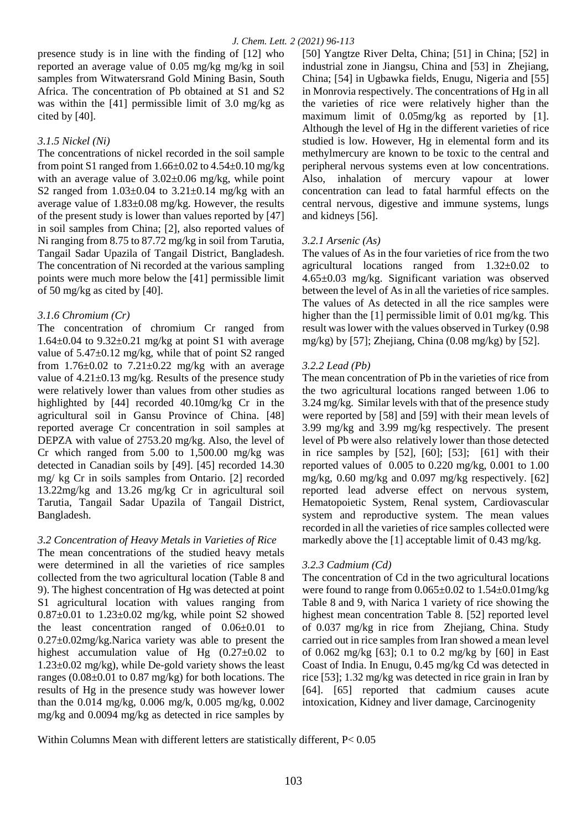presence study is in line with the finding of [12] who reported an average value of 0.05 mg/kg mg/kg in soil samples from Witwatersrand Gold Mining Basin, South Africa. The concentration of Pb obtained at S1 and S2 was within the [41] permissible limit of 3.0 mg/kg as cited by [40].

# *3.1.5 Nickel (Ni)*

The concentrations of nickel recorded in the soil sample from point S1 ranged from  $1.66\pm0.02$  to  $4.54\pm0.10$  mg/kg with an average value of  $3.02\pm0.06$  mg/kg, while point S2 ranged from  $1.03\pm0.04$  to  $3.21\pm0.14$  mg/kg with an average value of 1.83±0.08 mg/kg. However, the results of the present study is lower than values reported by [47] in soil samples from China; [2], also reported values of Ni ranging from 8.75 to 87.72 mg/kg in soil from Tarutia, Tangail Sadar Upazila of Tangail District, Bangladesh. The concentration of Ni recorded at the various sampling points were much more below the [41] permissible limit of 50 mg/kg as cited by [40].

# *3.1.6 Chromium (Cr)*

The concentration of chromium Cr ranged from  $1.64\pm0.04$  to  $9.32\pm0.21$  mg/kg at point S1 with average value of 5.47±0.12 mg/kg, while that of point S2 ranged from  $1.76 \pm 0.02$  to  $7.21 \pm 0.22$  mg/kg with an average value of 4.21±0.13 mg/kg. Results of the presence study were relatively lower than values from other studies as highlighted by [44] recorded 40.10mg/kg Cr in the agricultural soil in Gansu Province of China. [48] reported average Cr concentration in soil samples at DEPZA with value of 2753.20 mg/kg. Also, the level of Cr which ranged from  $5.00$  to  $1,500.00$  mg/kg was detected in Canadian soils by [49]. [45] recorded 14.30 mg/ kg Cr in soils samples from Ontario. [2] recorded 13.22mg/kg and 13.26 mg/kg Cr in agricultural soil Tarutia, Tangail Sadar Upazila of Tangail District, Bangladesh.

# *3.2 Concentration of Heavy Metals in Varieties of Rice*

The mean concentrations of the studied heavy metals were determined in all the varieties of rice samples collected from the two agricultural location (Table 8 and 9). The highest concentration of Hg was detected at point S1 agricultural location with values ranging from  $0.87\pm0.01$  to  $1.23\pm0.02$  mg/kg, while point S2 showed the least concentration ranged of 0.06±0.01 to 0.27±0.02mg/kg.Narica variety was able to present the highest accumulation value of Hg  $(0.27\pm0.02)$  to  $1.23\pm0.02$  mg/kg), while De-gold variety shows the least ranges  $(0.08\pm0.01)$  to  $(0.87)$  mg/kg) for both locations. The results of Hg in the presence study was however lower than the 0.014 mg/kg, 0.006 mg/k, 0.005 mg/kg, 0.002 mg/kg and 0.0094 mg/kg as detected in rice samples by

[50] Yangtze River Delta, China; [51] in China; [52] in industrial zone in Jiangsu, China and [53] in Zhejiang, China; [54] in Ugbawka fields, Enugu, Nigeria and [55] in Monrovia respectively. The concentrations of Hg in all the varieties of rice were relatively higher than the maximum limit of 0.05mg/kg as reported by [1]. Although the level of Hg in the different varieties of rice studied is low. However, Hg in elemental form and its methylmercury are known to be toxic to the central and peripheral nervous systems even at low concentrations. Also, inhalation of mercury vapour at lower concentration can lead to fatal harmful effects on the central nervous, digestive and immune systems, lungs and kidneys [56].

# *3.2.1 Arsenic (As)*

The values of As in the four varieties of rice from the two agricultural locations ranged from 1.32±0.02 to 4.65±0.03 mg/kg. Significant variation was observed between the level of As in all the varieties of rice samples. The values of As detected in all the rice samples were higher than the [1] permissible limit of 0.01 mg/kg. This result was lower with the values observed in Turkey (0.98 mg/kg) by [57]; Zhejiang, China  $(0.08 \text{ mg/kg})$  by [52].

# *3.2.2 Lead (Pb)*

The mean concentration of Pb in the varieties of rice from the two agricultural locations ranged between 1.06 to 3.24 mg/kg. Similar levels with that of the presence study were reported by [58] and [59] with their mean levels of 3.99 mg/kg and 3.99 mg/kg respectively. The present level of Pb were also relatively lower than those detected in rice samples by  $[52]$ ,  $[60]$ ;  $[53]$ ;  $[61]$  with their reported values of 0.005 to 0.220 mg/kg, 0.001 to 1.00 mg/kg, 0.60 mg/kg and 0.097 mg/kg respectively. [62] reported lead adverse effect on nervous system, Hematopoietic System, Renal system, Cardiovascular system and reproductive system. The mean values recorded in all the varieties of rice samples collected were markedly above the [1] acceptable limit of 0.43 mg/kg.

# *3.2.3 Cadmium (Cd)*

The concentration of Cd in the two agricultural locations were found to range from 0.065±0.02 to 1.54±0.01mg/kg Table 8 and 9, with Narica 1 variety of rice showing the highest mean concentration Table 8. [52] reported level of 0.037 mg/kg in rice from Zhejiang, China. Study carried out in rice samples from Iran showed a mean level of 0.062 mg/kg [63]; 0.1 to 0.2 mg/kg by [60] in East Coast of India. In Enugu, 0.45 mg/kg Cd was detected in rice [53]; 1.32 mg/kg was detected in rice grain in Iran by [64]. [65] reported that cadmium causes acute intoxication, Kidney and liver damage, Carcinogenity

Within Columns Mean with different letters are statistically different, P< 0.05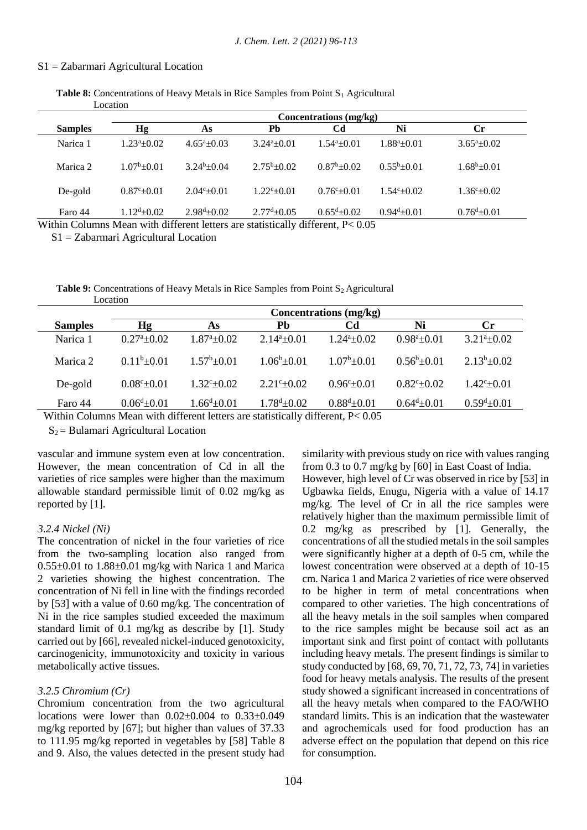#### S1 = Zabarmari Agricultural Location

| <b>Table 8:</b> Concentrations of Heavy Metals in Rice Samples from Point $S_1$ Agricultural |  |
|----------------------------------------------------------------------------------------------|--|
| Location                                                                                     |  |

|                                    | Concentrations (mg/kg)                                   |                            |                      |                                                              |                       |                            |  |  |  |  |  |
|------------------------------------|----------------------------------------------------------|----------------------------|----------------------|--------------------------------------------------------------|-----------------------|----------------------------|--|--|--|--|--|
| <b>Samples</b>                     | Hg                                                       | As                         | Pb                   | Cd                                                           | Ni                    | Сr                         |  |  |  |  |  |
| Narica 1                           | $1.23^a + 0.02$                                          | $4.65^{\mathrm{a}}$ + 0.03 | $3.24^a + 0.01$      | $1.54^a \pm 0.01$                                            | $1.88^a \pm 0.01$     | $3.65^{\mathrm{a}}\pm0.02$ |  |  |  |  |  |
| Marica 2                           | $1.07^b + 0.01$                                          | $3.24^b + 0.04$            | $2.75^b \pm 0.02$    | $0.87^b \pm 0.02$                                            | $0.55^{b}+0.01$       | $1.68^b \pm 0.01$          |  |  |  |  |  |
| De-gold                            | $0.87^{\circ}$ + 0.01                                    | $2.04^{\circ}$ + 0.01      | $1.22^{\circ}+0.01$  | $0.76^{\circ}$ + 0.01                                        | $1.54^{\circ}$ + 0.02 | $1.36^{\circ}$ ± 0.02      |  |  |  |  |  |
| Faro 44<br>$\mathbf{X} \mathbf{Y}$ | $1.12^{\rm d} \pm 0.02$<br>$1.1 - 11.00$<br>$\mathbf{r}$ | $2.98^{\rm d}$ ±0.02       | $2.77^{\rm d}$ ±0.05 | $0.65^{\mathrm{d}}\pm0.02$<br>$\cdots$ 11 1.00 $\cdots$ 0.05 | $0.94^d \pm 0.01$     | $0.76^{\rm d}$ ±0.01       |  |  |  |  |  |

Within Columns Mean with different letters are statistically different, P< 0.05

S1 = Zabarmari Agricultural Location

**Table 9:** Concentrations of Heavy Metals in Rice Samples from Point S<sub>2</sub> Agricultural Location

|                | <b>Concentrations</b> (mg/kg) |                            |                      |                            |                   |                      |  |  |  |  |  |
|----------------|-------------------------------|----------------------------|----------------------|----------------------------|-------------------|----------------------|--|--|--|--|--|
| <b>Samples</b> | Hg                            | As                         | Pb                   | Cd                         | Ni                | $\mathbf{C}$ r       |  |  |  |  |  |
| Narica 1       | $0.27^{\mathrm{a}} + 0.02$    | $1.87^{\mathrm{a}} + 0.02$ | $2.14^{a}+0.01$      | $1.24^{\mathrm{a}} + 0.02$ | $0.98^a \pm 0.01$ | $3.21^a \pm 0.02$    |  |  |  |  |  |
| Marica 2       | $0.11b + 0.01$                | $1.57^b \pm 0.01$          | $1.06^b \pm 0.01$    | $1.07^b \pm 0.01$          | $0.56^b \pm 0.01$ | $2.13^b \pm 0.02$    |  |  |  |  |  |
| De-gold        | $0.08^{\circ}$ ± 0.01         | $1.32^{\circ}+0.02$        | $2.21^{\circ}+0.02$  | $0.96^{\circ}+0.01$        | $0.82^{c}+0.02$   | $1.42^{\circ}$ ±0.01 |  |  |  |  |  |
| Faro 44        | $0.06^{\text{d}} \pm 0.01$    | $1.66^{\text{d}}\pm0.01$   | $1.78^{\rm d}$ ±0.02 | $0.88^{d}$ ±0.01           | $0.64^d \pm 0.01$ | $0.59^{d} \pm 0.01$  |  |  |  |  |  |

Within Columns Mean with different letters are statistically different, P< 0.05

 $S_2$  = Bulamari Agricultural Location

vascular and immune system even at low concentration. However, the mean concentration of Cd in all the varieties of rice samples were higher than the maximum allowable standard permissible limit of 0.02 mg/kg as reported by [1].

#### *3.2.4 Nickel (Ni)*

The concentration of nickel in the four varieties of rice from the two-sampling location also ranged from  $0.55\pm0.01$  to  $1.88\pm0.01$  mg/kg with Narica 1 and Marica 2 varieties showing the highest concentration. The concentration of Ni fell in line with the findings recorded by [53] with a value of 0.60 mg/kg. The concentration of Ni in the rice samples studied exceeded the maximum standard limit of 0.1 mg/kg as describe by [1]. Study carried out by [66], revealed nickel-induced genotoxicity, carcinogenicity, immunotoxicity and toxicity in various metabolically active tissues.

### *3.2.5 Chromium (Cr)*

Chromium concentration from the two agricultural locations were lower than  $0.02\pm0.004$  to  $0.33\pm0.049$ mg/kg reported by [67]; but higher than values of 37.33 to 111.95 mg/kg reported in vegetables by [58] Table 8 and 9. Also, the values detected in the present study had similarity with previous study on rice with values ranging from 0.3 to 0.7 mg/kg by [60] in East Coast of India. However, high level of Cr was observed in rice by [53] in Ugbawka fields, Enugu, Nigeria with a value of 14.17 mg/kg. The level of Cr in all the rice samples were relatively higher than the maximum permissible limit of 0.2 mg/kg as prescribed by [1]. Generally, the concentrations of all the studied metals in the soil samples were significantly higher at a depth of 0-5 cm, while the lowest concentration were observed at a depth of 10-15 cm. Narica 1 and Marica 2 varieties of rice were observed to be higher in term of metal concentrations when compared to other varieties. The high concentrations of all the heavy metals in the soil samples when compared to the rice samples might be because soil act as an important sink and first point of contact with pollutants including heavy metals. The present findings is similar to study conducted by [68, 69, 70, 71, 72, 73, 74] in varieties food for heavy metals analysis. The results of the present study showed a significant increased in concentrations of all the heavy metals when compared to the FAO/WHO standard limits. This is an indication that the wastewater and agrochemicals used for food production has an adverse effect on the population that depend on this rice for consumption.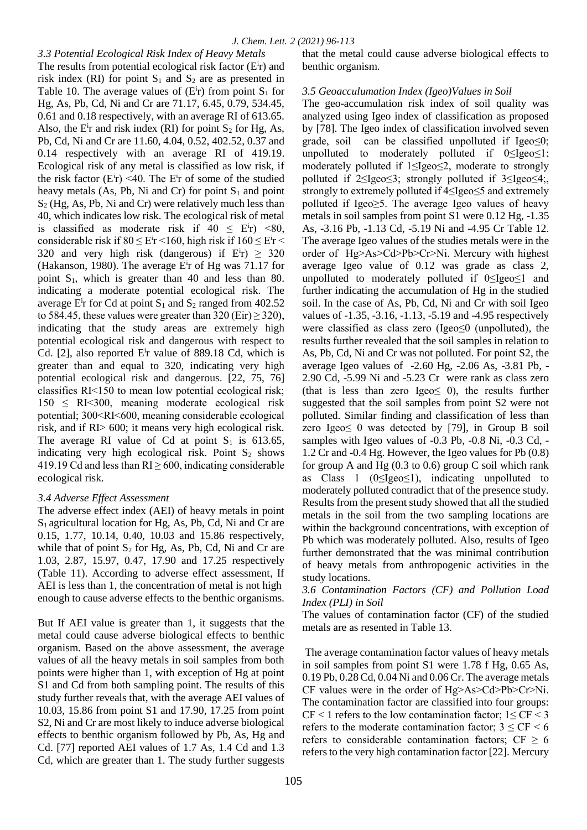*3.3 Potential Ecological Risk Index of Heavy Metals* The results from potential ecological risk factor  $(E<sup>i</sup>r)$  and risk index (RI) for point  $S_1$  and  $S_2$  are as presented in Table 10. The average values of  $(E<sup>i</sup>r)$  from point  $S<sub>1</sub>$  for Hg, As, Pb, Cd, Ni and Cr are 71.17, 6.45, 0.79, 534.45, 0.61 and 0.18 respectively, with an average RI of 613.65. Also, the  $E^i$ r and risk index (RI) for point  $S_2$  for Hg, As, Pb, Cd, Ni and Cr are 11.60, 4.04, 0.52, 402.52, 0.37 and 0.14 respectively with an average RI of 419.19. Ecological risk of any metal is classified as low risk, if the risk factor  $(E<sup>i</sup>r)$  <40. The  $E<sup>i</sup>r$  of some of the studied heavy metals (As, Pb, Ni and Cr) for point  $S_1$  and point  $S_2$  (Hg, As, Pb, Ni and Cr) were relatively much less than 40, which indicates low risk. The ecological risk of metal is classified as moderate risk if  $40 \leq E^i r$  <80, considerable risk if  $80 \leq E^i$ r < 160, high risk if  $160 \leq E^i$ r < 320 and very high risk (dangerous) if  $E<sup>i</sup>r$ )  $\geq$  320 (Hakanson, 1980). The average E<sup>i</sup>r of Hg was 71.17 for point S1, which is greater than 40 and less than 80. indicating a moderate potential ecological risk. The average E<sup>i</sup>r for Cd at point  $S_1$  and  $S_2$  ranged from 402.52 to 584.45, these values were greater than  $320$  (Eir)  $\geq$  320), indicating that the study areas are extremely high potential ecological risk and dangerous with respect to Cd.  $[2]$ , also reported E<sup>i</sup>r value of 889.18 Cd, which is greater than and equal to 320, indicating very high potential ecological risk and dangerous. [22, 75, 76] classifies RI˂150 to mean low potential ecological risk;  $150 \leq R$ I<300, meaning moderate ecological risk potential; 300<RI˂600, meaning considerable ecological risk, and if RI> 600; it means very high ecological risk. The average RI value of Cd at point  $S_1$  is 613.65, indicating very high ecological risk. Point  $S_2$  shows 419.19 Cd and less than  $RI \ge 600$ , indicating considerable ecological risk.

# *3.4 Adverse Effect Assessment*

The adverse effect index (AEI) of heavy metals in point  $S_1$  agricultural location for Hg, As, Pb, Cd, Ni and Cr are 0.15, 1.77, 10.14, 0.40, 10.03 and 15.86 respectively, while that of point  $S_2$  for Hg, As, Pb, Cd, Ni and Cr are 1.03, 2.87, 15.97, 0.47, 17.90 and 17.25 respectively (Table 11). According to adverse effect assessment, If AEI is less than 1, the concentration of metal is not high enough to cause adverse effects to the benthic organisms.

But If AEI value is greater than 1, it suggests that the metal could cause adverse biological effects to benthic organism. Based on the above assessment, the average values of all the heavy metals in soil samples from both points were higher than 1, with exception of Hg at point S1 and Cd from both sampling point. The results of this study further reveals that, with the average AEI values of 10.03, 15.86 from point S1 and 17.90, 17.25 from point S2, Ni and Cr are most likely to induce adverse biological effects to benthic organism followed by Pb, As, Hg and Cd. [77] reported AEI values of 1.7 As, 1.4 Cd and 1.3 Cd, which are greater than 1. The study further suggests that the metal could cause adverse biological effects to benthic organism.

# *3.5 Geoacculumation Index (Igeo)Values in Soil*

The geo-accumulation risk index of soil quality was analyzed using Igeo index of classification as proposed by [78]. The Igeo index of classification involved seven grade, soil can be classified unpolluted if  $Igeo \le 0$ ; unpolluted to moderately polluted if 0≤Igeo≤1; moderately polluted if 1≤Igeo≤2, moderate to strongly polluted if 2≤Igeo≤3; strongly polluted if 3≤Igeo≤4;, strongly to extremely polluted if 4≤Igeo≤5 and extremely polluted if Igeo≥5. The average Igeo values of heavy metals in soil samples from point S1 were 0.12 Hg, -1.35 As, -3.16 Pb, -1.13 Cd, -5.19 Ni and -4.95 Cr Table 12. The average Igeo values of the studies metals were in the order of Hg>As>Cd>Pb>Cr>Ni. Mercury with highest average Igeo value of 0.12 was grade as class 2, unpolluted to moderately polluted if 0≤Igeo≤1 and further indicating the accumulation of Hg in the studied soil. In the case of As, Pb, Cd, Ni and Cr with soil Igeo values of -1.35, -3.16, -1.13, -5.19 and -4.95 respectively were classified as class zero (Igeo≤0 (unpolluted), the results further revealed that the soil samples in relation to As, Pb, Cd, Ni and Cr was not polluted. For point S2, the average Igeo values of -2.60 Hg, -2.06 As, -3.81 Pb, - 2.90 Cd, -5.99 Ni and -5.23 Cr were rank as class zero (that is less than zero Igeo $\leq$  0), the results further suggested that the soil samples from point S2 were not polluted. Similar finding and classification of less than zero Igeo≤ 0 was detected by [79], in Group B soil samples with Igeo values of -0.3 Pb, -0.8 Ni, -0.3 Cd, - 1.2 Cr and -0.4 Hg. However, the Igeo values for Pb (0.8) for group A and Hg  $(0.3 \text{ to } 0.6)$  group C soil which rank as Class 1 ( $0 \leq \text{Igeo} \leq 1$ ), indicating unpolluted to moderately polluted contradict that of the presence study. Results from the present study showed that all the studied metals in the soil from the two sampling locations are within the background concentrations, with exception of Pb which was moderately polluted. Also, results of Igeo further demonstrated that the was minimal contribution of heavy metals from anthropogenic activities in the study locations.

*3.6 Contamination Factors (CF) and Pollution Load Index (PLI) in Soil* 

The values of contamination factor (CF) of the studied metals are as resented in Table 13.

The average contamination factor values of heavy metals in soil samples from point S1 were 1.78 f Hg, 0.65 As, 0.19 Pb, 0.28 Cd, 0.04 Ni and 0.06 Cr. The average metals CF values were in the order of Hg>As>Cd>Pb>Cr>Ni. The contamination factor are classified into four groups: CF < 1 refers to the low contamination factor;  $1 \leq C$ F < 3 refers to the moderate contamination factor;  $3 \leq CF \leq 6$ refers to considerable contamination factors;  $CF \geq 6$ refers to the very high contamination factor [22]. Mercury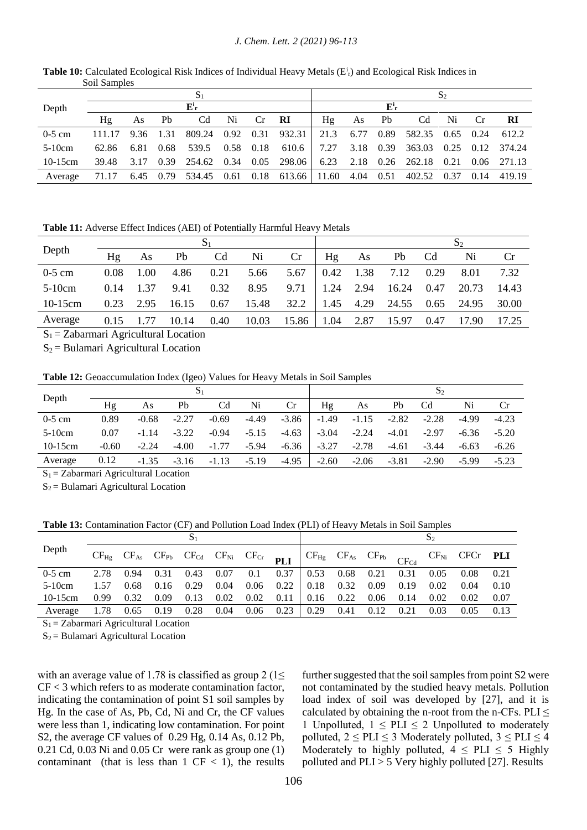|            |                  |    |           |                 |    |              |                                                               |      |    |               |                  | $\mathbf{S}$ |      |                  |
|------------|------------------|----|-----------|-----------------|----|--------------|---------------------------------------------------------------|------|----|---------------|------------------|--------------|------|------------------|
| Depth      |                  |    |           | $E^i$           |    |              |                                                               |      |    | ${\bf E}^i$ r |                  |              |      |                  |
|            | Hα               | As | Pb        | Cd              | Ni | Cr <b>RI</b> |                                                               | Hg   | As | Pb.           | Cd               | Ni           | Cr   | - RI             |
| $0-5$ cm   | 111.17 9.36 1.31 |    |           |                 |    |              | 809.24 0.92 0.31 932.31 21.3 6.77 0.89 582.35 0.65 0.24 612.2 |      |    |               |                  |              |      |                  |
| $5-10cm$   | 62.86            |    | 6.81 0.68 | 539.5 0.58 0.18 |    |              | 610.6                                                         | 7.27 |    |               | 3.18 0.39 363.03 |              |      | 0.25 0.12 374.24 |
| $10-15$ cm | 39.48            |    |           |                 |    |              | 3.17 0.39 254.62 0.34 0.05 298.06 6.23 2.18 0.26 262.18       |      |    |               |                  | 0.21         |      | 0.06 271.13      |
| Average    | 71.17            |    |           |                 |    |              | 6.45 0.79 534.45 0.61 0.18 613.66 11.60 4.04 0.51             |      |    |               | 402.52           | 0.37         | 0.14 | 419.19           |

Table 10: Calculated Ecological Risk Indices of Individual Heavy Metals (E<sup>i</sup><sub>r</sub>) and Ecological Risk Indices in Soil Samples

**Table 11:** Adverse Effect Indices (AEI) of Potentially Harmful Heavy Metals

|            |      |      |       |                |       |       |      |      |       |                | ۵Î    |       |
|------------|------|------|-------|----------------|-------|-------|------|------|-------|----------------|-------|-------|
| Depth      | Hg   | As   | Pb    | C <sub>d</sub> | Ni    | Cr    | Hg   | As   | Pb    | C <sub>d</sub> | Ni    | Cr    |
| $0-5$ cm   | 0.08 | 1.00 | 4.86  | 0.21           | 5.66  | 5.67  | 0.42 | 1.38 | 7.12  | 0.29           | 8.01  | 7.32  |
| $5-10cm$   | 0.14 | 1.37 | 9.41  | 0.32           | 8.95  | 9.71  | 1.24 | 2.94 | 16.24 | 0.47           | 20.73 | 14.43 |
| $10-15$ cm | 0.23 | 2.95 | 16.15 | 0.67           | 15.48 | 32.2  | 1.45 | 4.29 | 24.55 | 0.65           | 24.95 | 30.00 |
| Average    | 0.15 |      | 10.14 | 0.40           | 10.03 | 15.86 | 1.04 | 2.87 | 15.97 | 0.47           | 17.90 | 17.25 |

 $S_1 = Zabarmari$  Agricultural Location

 $S_2$  = Bulamari Agricultural Location

**Table 12:** Geoaccumulation Index (Igeo) Values for Heavy Metals in Soil Samples

| Depth           |         |                                     | $S_1$   |         |         | $S_2$   |         |         |         |                |         |           |
|-----------------|---------|-------------------------------------|---------|---------|---------|---------|---------|---------|---------|----------------|---------|-----------|
|                 | Hg      | As                                  | Pb      | Cd      | Ni      | Cr      | Ηg      | As      | Pb      | C <sub>d</sub> | Ni      | <b>Cr</b> |
| $0-5$ cm        | 0.89    | $-0.68$                             | $-2.27$ | $-0.69$ | $-4.49$ | $-3.86$ | $-1.49$ | $-1.15$ | $-2.82$ | $-2.28$        | $-4.99$ | $-4.23$   |
| $5-10cm$        | 0.07    | $-1.14$                             | $-3.22$ | $-0.94$ | $-5.15$ | $-4.63$ | $-3.04$ | $-2.24$ | $-4.01$ | $-2.97$        | $-6.36$ | $-5.20$   |
| $10-15$ cm      | $-0.60$ | $-2.24$                             | $-4.00$ | $-1.77$ | $-5.94$ | $-6.36$ | $-3.27$ | $-2.78$ | $-4.61$ | $-3.44$        | $-6.63$ | $-6.26$   |
| Average         | 0.12    | $-1.35$                             | $-3.16$ | $-1.13$ | $-5.19$ | $-4.95$ | $-2.60$ | $-2.06$ | $-3.81$ | $-2.90$        | $-5.99$ | $-5.23$   |
| $\sim$ $\sim$ 1 |         | $\cdots$ $\cdots$ $\cdots$ $\cdots$ |         |         |         |         |         |         |         |                |         |           |

 $S_1 = Zabarmari$  Agricultural Location

 $S_2$  = Bulamari Agricultural Location

**Table 13:** Contamination Factor (CF) and Pollution Load Index (PLI) of Heavy Metals in Soil Samples

| Depth     |      |             |      |      |      |      |      |                  |      |      |      |      | $CF_{Hg}$ $CF_{As}$ $CF_{Pb}$ $CF_{Cd}$ $CF_{Ni}$ $CF_{Cr}$ $PLI$ $CF_{Hg}$ $CF_{As}$ $CF_{Pb}$ $CF_{Cd}$ $CF_{Ni}$ $CF_{Cr}$ $PLI$ |      |  |
|-----------|------|-------------|------|------|------|------|------|------------------|------|------|------|------|-------------------------------------------------------------------------------------------------------------------------------------|------|--|
| $0-5$ cm  | 2.78 | 0.94        | 0.31 | 0.43 | 0.07 | 0.1  | 0.37 | 0.53             | 0.68 | 0.21 | 0.31 | 0.05 | 0.08                                                                                                                                | 0.21 |  |
| $5-10cm$  | 1.57 | 0.68        | 0.16 | 0.29 | 0.04 | 0.06 | 0.22 | $\frac{1}{0.18}$ | 0.32 | 0.09 | 0.19 | 0.02 | 0.04                                                                                                                                | 0.10 |  |
| $10-15cm$ | 0.99 | 0.32        | 0.09 | 0.13 | 0.02 | 0.02 | 0.11 | 0.16             | 0.22 | 0.06 | 0.14 | 0.02 | 0.02                                                                                                                                | 0.07 |  |
| Average   | 1.78 | $0.65$ 0.19 |      | 0.28 | 0.04 | 0.06 | 0.23 | 0.29             | 0.41 | 0.12 | 0.21 | 0.03 | 0.05                                                                                                                                | 0.13 |  |

 $S_1 = Zabarmari$  Agricultural Location

 $S_2$  = Bulamari Agricultural Location

with an average value of 1.78 is classified as group 2 ( $1 \le$ CF < 3 which refers to as moderate contamination factor, indicating the contamination of point S1 soil samples by Hg. In the case of As, Pb, Cd, Ni and Cr, the CF values were less than 1, indicating low contamination. For point S2, the average CF values of 0.29 Hg, 0.14 As, 0.12 Pb, 0.21 Cd, 0.03 Ni and 0.05 Cr were rank as group one (1) contaminant (that is less than  $1 \text{ CF} < 1$ ), the results

further suggested that the soil samples from point S2 were not contaminated by the studied heavy metals. Pollution load index of soil was developed by [27], and it is calculated by obtaining the n-root from the n-CFs.  $PLI \leq$ 1 Unpolluted,  $1 \leq PLI \leq 2$  Unpolluted to moderately polluted,  $2 \leq PLI \leq 3$  Moderately polluted,  $3 \leq PLI \leq 4$ Moderately to highly polluted,  $4 \leq PLI \leq 5$  Highly polluted and  $PLI > 5$  Very highly polluted [27]. Results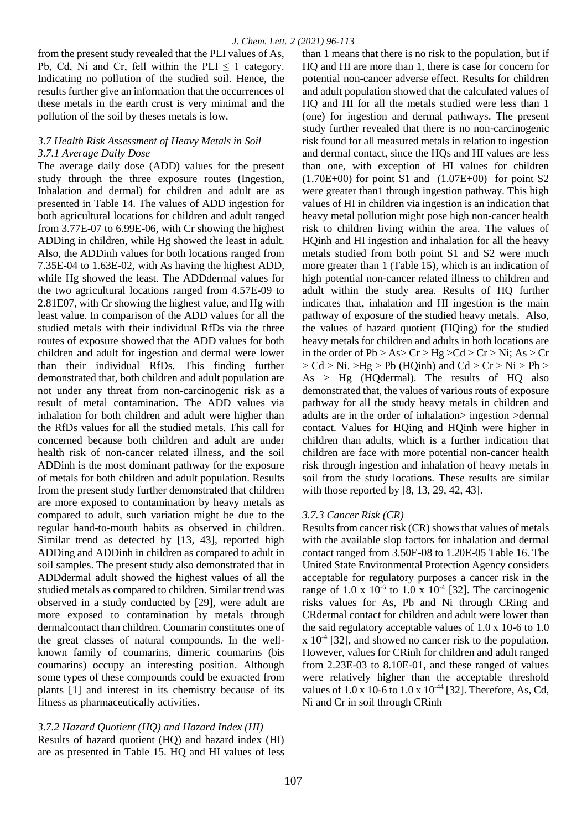from the present study revealed that the PLI values of As, Pb, Cd, Ni and Cr, fell within the PLI  $\leq 1$  category. Indicating no pollution of the studied soil. Hence, the results further give an information that the occurrences of these metals in the earth crust is very minimal and the pollution of the soil by theses metals is low.

## *3.7 Health Risk Assessment of Heavy Metals in Soil 3.7.1 Average Daily Dose*

The average daily dose (ADD) values for the present study through the three exposure routes (Ingestion, Inhalation and dermal) for children and adult are as presented in Table 14. The values of ADD ingestion for both agricultural locations for children and adult ranged from 3.77E-07 to 6.99E-06, with Cr showing the highest ADDing in children, while Hg showed the least in adult. Also, the ADDinh values for both locations ranged from 7.35E-04 to 1.63E-02, with As having the highest ADD, while Hg showed the least. The ADDdermal values for the two agricultural locations ranged from 4.57E-09 to 2.81E07, with Cr showing the highest value, and Hg with least value. In comparison of the ADD values for all the studied metals with their individual RfDs via the three routes of exposure showed that the ADD values for both children and adult for ingestion and dermal were lower than their individual RfDs. This finding further demonstrated that, both children and adult population are not under any threat from non-carcinogenic risk as a result of metal contamination. The ADD values via inhalation for both children and adult were higher than the RfDs values for all the studied metals. This call for concerned because both children and adult are under health risk of non-cancer related illness, and the soil ADDinh is the most dominant pathway for the exposure of metals for both children and adult population. Results from the present study further demonstrated that children are more exposed to contamination by heavy metals as compared to adult, such variation might be due to the regular hand-to-mouth habits as observed in children. Similar trend as detected by [13, 43], reported high ADDing and ADDinh in children as compared to adult in soil samples. The present study also demonstrated that in ADDdermal adult showed the highest values of all the studied metals as compared to children. Similar trend was observed in a study conducted by [29], were adult are more exposed to contamination by metals through dermalcontact than children. Coumarin constitutes one of the great classes of natural compounds. In the wellknown family of coumarins, dimeric coumarins (bis coumarins) occupy an interesting position. Although some types of these compounds could be extracted from plants [1] and interest in its chemistry because of its fitness as pharmaceutically activities.

*3.7.2 Hazard Quotient (HQ) and Hazard Index (HI)*  Results of hazard quotient (HQ) and hazard index (HI) are as presented in Table 15. HQ and HI values of less

than 1 means that there is no risk to the population, but if HQ and HI are more than 1, there is case for concern for potential non-cancer adverse effect. Results for children and adult population showed that the calculated values of HQ and HI for all the metals studied were less than 1 (one) for ingestion and dermal pathways. The present study further revealed that there is no non-carcinogenic risk found for all measured metals in relation to ingestion and dermal contact, since the HQs and HI values are less than one, with exception of HI values for children  $(1.70E+00)$  for point S1 and  $(1.07E+00)$  for point S2 were greater than1 through ingestion pathway. This high values of HI in children via ingestion is an indication that heavy metal pollution might pose high non-cancer health risk to children living within the area. The values of HQinh and HI ingestion and inhalation for all the heavy metals studied from both point S1 and S2 were much more greater than 1 (Table 15), which is an indication of high potential non-cancer related illness to children and adult within the study area. Results of HQ further indicates that, inhalation and HI ingestion is the main pathway of exposure of the studied heavy metals. Also, the values of hazard quotient (HQing) for the studied heavy metals for children and adults in both locations are in the order of  $Pb > As > Cr > Hg > Cd > Cr > Ni$ ; As > Cr  $> Cd > Ni.$   $>Hg > Pb$  (HQinh) and  $Cd > Cr > Ni > Pb >$ As > Hg (HQdermal). The results of HQ also demonstrated that, the values of various routs of exposure pathway for all the study heavy metals in children and adults are in the order of inhalation> ingestion >dermal contact. Values for HQing and HQinh were higher in children than adults, which is a further indication that children are face with more potential non-cancer health risk through ingestion and inhalation of heavy metals in soil from the study locations. These results are similar with those reported by [8, 13, 29, 42, 43].

## *3.7.3 Cancer Risk (CR)*

Results from cancer risk (CR) shows that values of metals with the available slop factors for inhalation and dermal contact ranged from 3.50E-08 to 1.20E-05 Table 16. The United State Environmental Protection Agency considers acceptable for regulatory purposes a cancer risk in the range of  $1.0 \times 10^{-6}$  to  $1.0 \times 10^{-4}$  [32]. The carcinogenic risks values for As, Pb and Ni through CRing and CRdermal contact for children and adult were lower than the said regulatory acceptable values of 1.0 x 10-6 to 1.0 x 10-4 [32], and showed no cancer risk to the population. However, values for CRinh for children and adult ranged from 2.23E-03 to 8.10E-01, and these ranged of values were relatively higher than the acceptable threshold values of 1.0 x 10-6 to 1.0 x 10<sup>-44</sup> [32]. Therefore, As, Cd, Ni and Cr in soil through CRinh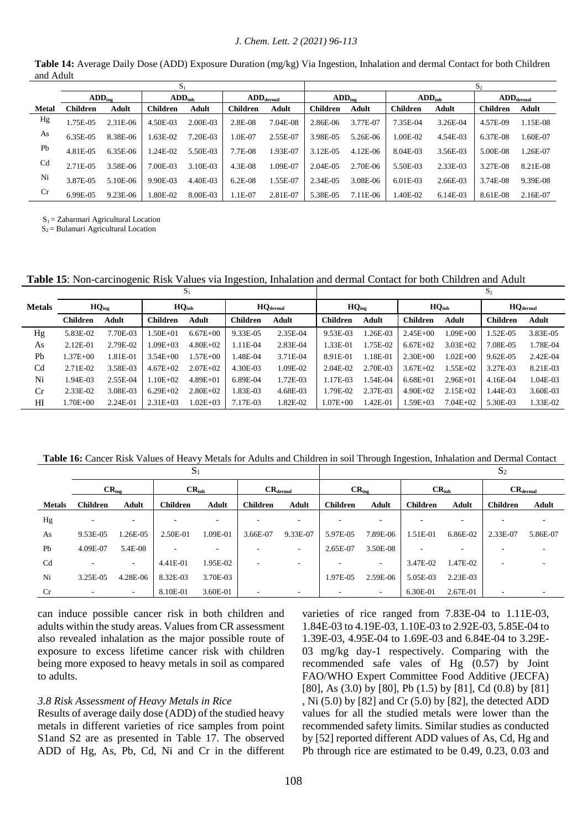#### *J. Chem. Lett. 2 (2021) 96-113*

|                |                    |            | $\mathbf{S}_1$           |          |                                |          | S <sub>2</sub>     |            |                    |            |                                |           |  |
|----------------|--------------------|------------|--------------------------|----------|--------------------------------|----------|--------------------|------------|--------------------|------------|--------------------------------|-----------|--|
|                | $ADD_{\text{ine}}$ |            | $ADD_{inh}$              |          | $\mathbf{ADD}_\mathrm{dermal}$ |          | ADD <sub>inc</sub> |            | ADD <sub>inh</sub> |            | $\mathbf{ADD}_\mathrm{dermal}$ |           |  |
| <b>Metal</b>   | Children           | Adult      | <b>Children</b><br>Adult |          | <b>Children</b>                | Adult    | <b>Children</b>    | Adult      |                    | Adult      | <b>Children</b>                | Adult     |  |
| Hg             | 1.75E-05           | $2.31E-06$ | 4.50E-03                 | 2.00E-03 | 2.8E-08                        | 7.04E-08 | 2.86E-06           | 3.77E-07   | 7.35E-04           | 3.26E-04   | 4.57E-09                       | 1.15E-08  |  |
| As             | 6.35E-05           | 8.38E-06   | $.63E-02$                | 7.20E-03 | 1.0E-07                        | 2.55E-07 | 3.98E-05           | 5.26E-06   | 1.00E-02           | 4.54E-03   | 6.37E-08                       | $.60E-07$ |  |
| Pb             | 4.81E-05           | $6.35E-06$ | 1.24E-02                 | 5.50E-03 | 7.7E-08                        | 1.93E-07 | 3.12E-05           | $4.12E-06$ | 8.04E-03           | 3.56E-03   | 5.00E-08                       | 1.26E-07  |  |
| C <sub>d</sub> | 2.71E-05           | 3.58E-06   | 7.00E-03                 | 3.10E-03 | 4.3E-08                        | 1.09E-07 | 2.04E-05           | 2.70E-06   | 5.50E-03           | 2.33E-03   | 3.27E-08                       | 8.21E-08  |  |
| Ni             | 3.87E-05           | $5.10E-06$ | 9.90E-03                 | 4.40E-03 | $6.2E-08$                      | 1.55E-07 | 2.34E-05           | 3.08E-06   | $6.01E-03$         | 2.66E-03   | 3.74E-08                       | 9.39E-08  |  |
| Cr             | 6.99E-05           | 9.23E-06   | .80E-02                  | 8.00E-03 | $1.1E-07$                      | 2.81E-07 | 5.38E-05           | 7.11E-06   | 1.40E-02           | $6.14E-03$ | 8.61E-08                       | 2.16E-07  |  |

**Table 14:** Average Daily Dose (ADD) Exposure Duration (mg/kg) Via Ingestion, Inhalation and dermal Contact for both Children and Adult

 $S_1 = Zabarmari$  Agricultural Location  $S_2$  = Bulamari Agricultural Location

**Table 15**: Non-carcinogenic Risk Values via Ingestion, Inhalation and dermal Contact for both Children and Adult

|                |                   |              |                   | $S_1$        |                      | S <sub>2</sub> |                 |          |                   |                |                      |              |  |
|----------------|-------------------|--------------|-------------------|--------------|----------------------|----------------|-----------------|----------|-------------------|----------------|----------------------|--------------|--|
| <b>Metals</b>  | $HQ_{\text{ine}}$ |              | HQ <sub>inh</sub> |              | $HQ_{\text{dermal}}$ |                | $HQ_{ing}$      |          | HQ <sub>inh</sub> |                | HQ <sub>dermal</sub> |              |  |
|                | <b>Children</b>   | <b>Adult</b> | <b>Children</b>   | <b>Adult</b> | <b>Children</b>      | Adult          | <b>Children</b> | Adult    | <b>Children</b>   | Adult          | <b>Children</b>      | <b>Adult</b> |  |
| Hg             | 5.83E-02          | 7.70E-03     | $.50E + 01$       | $6.67E + 00$ | 9.33E-05             | 2.35E-04       | 9.53E-03        | 1.26E-03 | $2.45E + 00$      | $1.09E + 00$   | 1.52E-05             | 3.83E-05     |  |
| As             | $2.12E - 01$      | 2.79E-02     | $.09E + 03$       | $4.80E + 02$ | 1.11E-04             | 2.83E-04       | 1.33E-01        | 1.75E-02 | $6.67E+02$        | $3.03E + 02$   | 7.08E-05             | 1.78E-04     |  |
| Pb             | 1.37E+00          | 1.81E-01     | $3.54E + 00$      | 1.57E+00     | 1.48E-04             | 3.71E-04       | 8.91E-01        | 1.18E-01 | $2.30E + 00$      | $0.02E + 0.01$ | 9.62E-05             | 2.42E-04     |  |
| C <sub>d</sub> | 2.71E-02          | 3.58E-03     | $4.67E + 02$      | $2.07E + 02$ | 4.30E-03             | 1.09E-02       | 2.04E-02        | 2.70E-03 | $3.67E + 02$      | $.55E + 02$    | 3.27E-03             | 8.21E-03     |  |
| Ni             | 1.94E-03          | 2.55E-04     | $.10E + 02$       | $4.89E + 01$ | 6.89E-04             | 1.72E-03       | 1.17E-03        | 1.54E-04 | $6.68E + 01$      | $2.96E + 01$   | 4.16E-04             | 1.04E-03     |  |
| Cr             | 2.33E-02          | 3.08E-03     | $6.29E + 02$      | $2.80E + 02$ | 1.83E-03             | 4.68E-03       | 1.79E-02        | 2.37E-03 | $4.90E + 02$      | $2.15E+02$     | l.44E-03             | 3.60E-03     |  |
| HІ             | 1.70E+00          | 2.24E-01     | $2.31E + 0.3$     | $1.02E + 03$ | 7.17E-03             | 1.82E-02       | $1.07E + 00$    | 1.42E-01 | $1.59E + 03$      | $7.04E + 02$   | 5.30E-03             | 1.33E-02     |  |

**Table 16:** Cancer Risk Values of Heavy Metals for Adults and Children in soil Through Ingestion, Inhalation and Dermal Contact

|                |                   |                          | $S_1$                    |                          |                      |                          |                   |                          |                          | $S_2$        |                          |          |
|----------------|-------------------|--------------------------|--------------------------|--------------------------|----------------------|--------------------------|-------------------|--------------------------|--------------------------|--------------|--------------------------|----------|
|                | $CR_{\text{ine}}$ |                          | CR <sub>inh</sub>        |                          | $CR_{\text{dermal}}$ |                          | $CR_{\text{ine}}$ |                          | CR <sub>inh</sub>        |              | $CR_{\text{dermal}}$     |          |
| <b>Metals</b>  | <b>Children</b>   | <b>Adult</b>             | <b>Children</b>          | Adult                    | <b>Children</b>      | <b>Adult</b>             | <b>Children</b>   | Adult                    | <b>Children</b>          | <b>Adult</b> | <b>Children</b>          | Adult    |
| Hg             | ٠                 | ۰                        | $\overline{\phantom{a}}$ | $\overline{\phantom{a}}$ |                      |                          |                   | $\overline{\phantom{a}}$ | ۰                        | -            |                          |          |
| As             | 9.53E-05          | 1.26E-05                 | 2.50E-01                 | 1.09E-01                 | 3.66E-07             | 9.33E-07                 | 5.97E-05          | 7.89E-06                 | 1.51E-01                 | 6.86E-02     | 2.33E-07                 | 5.86E-07 |
| Pb             | 4.09E-07          | 5.4E-08                  | $\overline{\phantom{a}}$ | $\overline{\phantom{a}}$ | ۰                    | $\overline{\phantom{a}}$ | 2.65E-07          | 3.50E-08                 | $\overline{\phantom{a}}$ | ٠            |                          |          |
| C <sub>d</sub> | ٠                 | $\overline{\phantom{a}}$ | 4.41E-01                 | 1.95E-02                 | ۰                    | $\overline{\phantom{a}}$ |                   | $\overline{\phantom{a}}$ | 3.47E-02                 | 1.47E-02     | $\overline{\phantom{a}}$ |          |
| Ni             | 3.25E-05          | 4.28E-06                 | 8.32E-03                 | 3.70E-03                 |                      |                          | 1.97E-05          | 2.59E-06                 | 5.05E-03                 | 2.23E-03     |                          |          |
| Cr             |                   |                          | 8.10E-01                 | 3.60E-01                 |                      |                          |                   |                          | 6.30E-01                 | 2.67E-01     | $\overline{\phantom{a}}$ |          |

can induce possible cancer risk in both children and adults within the study areas. Values from CR assessment also revealed inhalation as the major possible route of exposure to excess lifetime cancer risk with children being more exposed to heavy metals in soil as compared to adults.

### *3.8 Risk Assessment of Heavy Metals in Rice*

Results of average daily dose (ADD) of the studied heavy metals in different varieties of rice samples from point S1and S2 are as presented in Table 17. The observed ADD of Hg, As, Pb, Cd, Ni and Cr in the different

varieties of rice ranged from 7.83E-04 to 1.11E-03, 1.84E-03 to 4.19E-03, 1.10E-03 to 2.92E-03, 5.85E-04 to 1.39E-03, 4.95E-04 to 1.69E-03 and 6.84E-04 to 3.29E-03 mg/kg day-1 respectively. Comparing with the recommended safe vales of Hg (0.57) by Joint FAO/WHO Expert Committee Food Additive (JECFA) [80], As (3.0) by [80], Pb (1.5) by [81], Cd (0.8) by [81] , Ni (5.0) by [82] and Cr (5.0) by [82], the detected ADD values for all the studied metals were lower than the recommended safety limits. Similar studies as conducted by [52] reported different ADD values of As, Cd, Hg and Pb through rice are estimated to be 0.49, 0.23, 0.03 and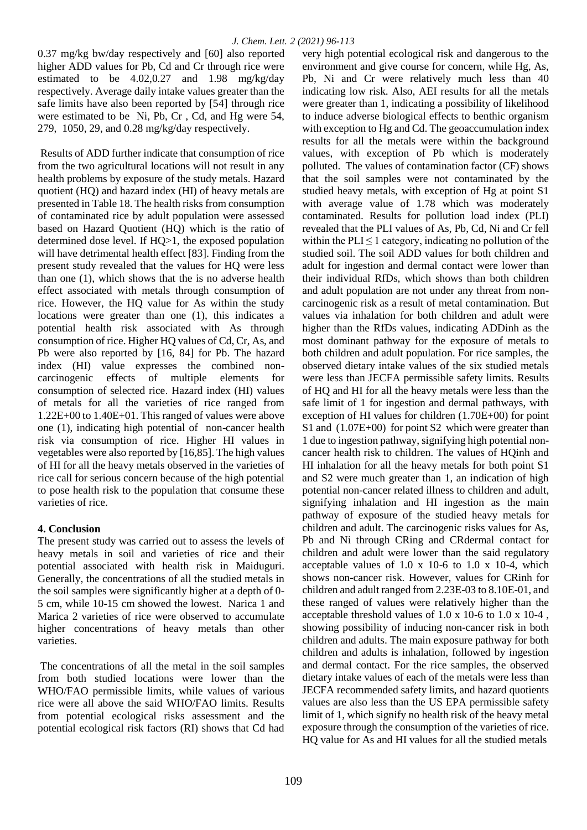0.37 mg/kg bw/day respectively and [60] also reported higher ADD values for Pb, Cd and Cr through rice were estimated to be 4.02,0.27 and 1.98 mg/kg/day respectively. Average daily intake values greater than the safe limits have also been reported by [54] through rice were estimated to be Ni, Pb, Cr , Cd, and Hg were 54, 279, 1050, 29, and 0.28 mg/kg/day respectively.

Results of ADD further indicate that consumption of rice from the two agricultural locations will not result in any health problems by exposure of the study metals. Hazard quotient (HQ) and hazard index (HI) of heavy metals are presented in Table 18. The health risks from consumption of contaminated rice by adult population were assessed based on Hazard Quotient (HQ) which is the ratio of determined dose level. If HQ>1, the exposed population will have detrimental health effect [83]. Finding from the present study revealed that the values for HQ were less than one (1), which shows that the is no adverse health effect associated with metals through consumption of rice. However, the HQ value for As within the study locations were greater than one (1), this indicates a potential health risk associated with As through consumption of rice. Higher HQ values of Cd, Cr, As, and Pb were also reported by [16, 84] for Pb. The hazard index (HI) value expresses the combined noncarcinogenic effects of multiple elements for consumption of selected rice. Hazard index (HI) values of metals for all the varieties of rice ranged from 1.22E+00 to 1.40E+01. This ranged of values were above one (1), indicating high potential of non-cancer health risk via consumption of rice. Higher HI values in vegetables were also reported by [16,85]. The high values of HI for all the heavy metals observed in the varieties of rice call for serious concern because of the high potential to pose health risk to the population that consume these varieties of rice.

# **4. Conclusion**

The present study was carried out to assess the levels of heavy metals in soil and varieties of rice and their potential associated with health risk in Maiduguri. Generally, the concentrations of all the studied metals in the soil samples were significantly higher at a depth of 0- 5 cm, while 10-15 cm showed the lowest. Narica 1 and Marica 2 varieties of rice were observed to accumulate higher concentrations of heavy metals than other varieties.

The concentrations of all the metal in the soil samples from both studied locations were lower than the WHO/FAO permissible limits, while values of various rice were all above the said WHO/FAO limits. Results from potential ecological risks assessment and the potential ecological risk factors (RI) shows that Cd had

very high potential ecological risk and dangerous to the environment and give course for concern, while Hg, As, Pb, Ni and Cr were relatively much less than 40 indicating low risk. Also, AEI results for all the metals were greater than 1, indicating a possibility of likelihood to induce adverse biological effects to benthic organism with exception to Hg and Cd. The geoaccumulation index results for all the metals were within the background values, with exception of Pb which is moderately polluted. The values of contamination factor (CF) shows that the soil samples were not contaminated by the studied heavy metals, with exception of Hg at point S1 with average value of 1.78 which was moderately contaminated. Results for pollution load index (PLI) revealed that the PLI values of As, Pb, Cd, Ni and Cr fell within the  $PLI \leq 1$  category, indicating no pollution of the studied soil. The soil ADD values for both children and adult for ingestion and dermal contact were lower than their individual RfDs, which shows than both children and adult population are not under any threat from noncarcinogenic risk as a result of metal contamination. But values via inhalation for both children and adult were higher than the RfDs values, indicating ADDinh as the most dominant pathway for the exposure of metals to both children and adult population. For rice samples, the observed dietary intake values of the six studied metals were less than JECFA permissible safety limits. Results of HQ and HI for all the heavy metals were less than the safe limit of 1 for ingestion and dermal pathways, with exception of HI values for children (1.70E+00) for point S1 and (1.07E+00) for point S2 which were greater than 1 due to ingestion pathway, signifying high potential noncancer health risk to children. The values of HQinh and HI inhalation for all the heavy metals for both point S1 and S2 were much greater than 1, an indication of high potential non-cancer related illness to children and adult, signifying inhalation and HI ingestion as the main pathway of exposure of the studied heavy metals for children and adult. The carcinogenic risks values for As, Pb and Ni through CRing and CRdermal contact for children and adult were lower than the said regulatory acceptable values of  $1.0 \times 10^{-6}$  to  $1.0 \times 10^{-4}$ , which shows non-cancer risk. However, values for CRinh for children and adult ranged from 2.23E-03 to 8.10E-01, and these ranged of values were relatively higher than the acceptable threshold values of 1.0 x 10-6 to 1.0 x 10-4 , showing possibility of inducing non-cancer risk in both children and adults. The main exposure pathway for both children and adults is inhalation, followed by ingestion and dermal contact. For the rice samples, the observed dietary intake values of each of the metals were less than JECFA recommended safety limits, and hazard quotients values are also less than the US EPA permissible safety limit of 1, which signify no health risk of the heavy metal exposure through the consumption of the varieties of rice. HQ value for As and HI values for all the studied metals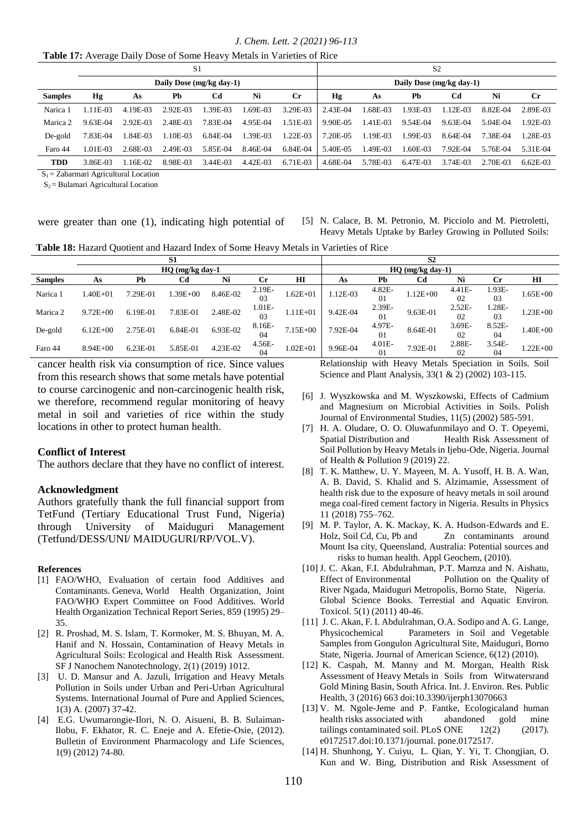*J. Chem. Lett. 2 (2021) 96-113*

|                |          |           | S <sub>1</sub>           |          |            | S <sub>2</sub>           |          |          |          |          |          |             |  |
|----------------|----------|-----------|--------------------------|----------|------------|--------------------------|----------|----------|----------|----------|----------|-------------|--|
|                |          |           | Daily Dose (mg/kg day-1) |          |            | Daily Dose (mg/kg day-1) |          |          |          |          |          |             |  |
| <b>Samples</b> | Hg       | As        | Pb                       | Cd       | Ni         | Сr                       | Hg       | As       | Pb       | Cd       | Ni       | $_{\rm Cr}$ |  |
| Narica 1       | 1.11E-03 | 4.19E-03  | $2.92E-03$               | 1.39E-03 | L69E-03    | 3.29E-03                 | 2.43E-04 | 1.68E-03 | 1.93E-03 | 1.12E-03 | 8.82E-04 | 2.89E-03    |  |
| Marica 2       | 9.63E-04 | 2.92E-03  | 2.48E-03                 | 7.83E-04 | 4.95E-04   | .51E-03                  | 9.90E-05 | 1.41E-03 | 9.54E-04 | 9.63E-04 | 5.04E-04 | 1.92E-03    |  |
| De-gold        | 7.83E-04 | 1.84E-03  | 1.10E-03                 | 6.84E-04 | 1.39E-03   | 1.22E-03                 | 7.20E-05 | 1.19E-03 | 1.99E-03 | 8.64E-04 | 7.38E-04 | $-28E-03$   |  |
| Faro 44        | 1.01E-03 | 2.68E-03  | 2.49E-03                 | 5.85E-04 | 8.46E-04   | 6.84E-04                 | 5.40E-05 | 1.49E-03 | L60E-03  | 7.92E-04 | 5.76E-04 | 5.31E-04    |  |
| <b>TDD</b>     | 3.86E-03 | $.16E-02$ | 8.98E-03                 | 3.44E-03 | $4.42E-03$ | $6.71E-03$               | 4.68E-04 | 5.78E-03 | 6.47E-03 | 3.74E-03 | 2.70E-03 | $6.62E-03$  |  |

 $S_1$  = Zabarmari Agricultural Location

 $S_2$  = Bulamari Agricultural Location

were greater than one (1), indicating high potential of

[5] N. Calace, B. M. Petronio, M. Picciolo and M. Pietroletti, Heavy Metals Uptake by Barley Growing in Polluted Soils:

**Table 18:** Hazard Quotient and Hazard Index of Some Heavy Metals in Varieties of Rice

|                |              |          | S <sub>1</sub>  |          |                          | S <sub>2</sub>     |          |                |              |                 |                 |              |
|----------------|--------------|----------|-----------------|----------|--------------------------|--------------------|----------|----------------|--------------|-----------------|-----------------|--------------|
|                |              |          | HQ (mg/kg day-1 |          |                          | $HO$ (mg/kg day-1) |          |                |              |                 |                 |              |
| <b>Samples</b> | As           | Pb       | Cd              | Ni       | Сr                       | HI                 | As       | Pb             | Cd           | Ni              | Cr              | ш            |
| Narica 1       | l.40E+01     | 7.29E-01 | $1.39E + 00$    | 8.46E-02 | 2.19E-<br>03             | $1.62E + 01$       | 1.12E-03 | 4.82E-<br>01   | $1.12E + 00$ | 4.41E-<br>02    | 1.93E-<br>03    | 1.65E+00     |
| Marica 2       | $9.72E + 00$ | 6.19E-01 | 7.83E-01        | 2.48E-02 | 1.01E-<br>0 <sup>3</sup> | $1.11E + 01$       | 9.42E-04 | 2.39E-<br>01   | 9.63E-01     | $2.52E -$<br>02 | 1.28E-<br>03    | $1.23E + 00$ |
| De-gold        | $6.12E + 00$ | 2.75E-01 | $6.84E-01$      | 6.93E-02 | 8.16E-<br>04             | $7.15E + 00$       | 7.92E-04 | 4.97E-<br>01   | 8.64E-01     | 3.69E-<br>02    | 8.52E-<br>04    | 1.40E+00     |
| Faro 44        | $8.94E + 00$ | 6.23E-01 | 5.85E-01        | 4.23E-02 | 4.56E-<br>04             | $1.02E + 01$       | 9.96E-04 | $4.01E-$<br>01 | 7.92E-01     | 2.88E-<br>02    | $3.54E -$<br>04 | $1.22E + 00$ |

cancer health risk via consumption of rice. Since values from this research shows that some metals have potential to course carcinogenic and non-carcinogenic health risk, we therefore, recommend regular monitoring of heavy metal in soil and varieties of rice within the study locations in other to protect human health.

#### **Conflict of Interest**

The authors declare that they have no conflict of interest.

#### **Acknowledgment**

Authors gratefully thank the full financial support from TetFund (Tertiary Educational Trust Fund, Nigeria) through University of Maiduguri Management (Tetfund/DESS/UNI/ MAIDUGURI/RP/VOL.V).

#### **References**

- [1] FAO/WHO, Evaluation of certain food Additives and Contaminants. Geneva, World Health Organization, Joint FAO/WHO Expert Committee on Food Additives. World Health Organization Technical Report Series, 859 (1995) 29– 35.
- [2] R. Proshad, M. S. Islam, T. Kormoker, M. S. Bhuyan, M. A. Hanif and N. Hossain, Contamination of Heavy Metals in Agricultural Soils: Ecological and Health Risk Assessment. SF J Nanochem Nanotechnology, 2(1) (2019) 1012.
- [3] U. D. Mansur and A. Jazuli, Irrigation and Heavy Metals Pollution in Soils under Urban and Peri-Urban Agricultural Systems. International Journal of Pure and Applied Sciences, 1(3) A. (2007) 37-42.
- [4] E.G. Uwumarongie-Ilori, N. O. Aisueni, B. B. Sulaiman-Ilobu, F. Ekhator, R. C. Eneje and A. Efetie-Osie, (2012). Bulletin of Environment Pharmacology and Life Sciences, 1(9) (2012) 74-80.

Relationship with Heavy Metals Speciation in Soils. Soil Science and Plant Analysis, 33(1 & 2) (2002) 103-115.

- [6] J. Wyszkowska and M. Wyszkowski, Effects of Cadmium and Magnesium on Microbial Activities in Soils. Polish Journal of Environmental Studies, 11(5) (2002) 585-591.
- [7] H. A. Oludare, O. O. Oluwafunmilayo and O. T. Opeyemi, Spatial Distribution and Health Risk Assessment of Soil Pollution by Heavy Metals in Ijebu-Ode, Nigeria. Journal of Health & Pollution 9 (2019) 22.
- [8] T. K. Matthew, U. Y. Mayeen, M. A. Yusoff, H. B. A. Wan, A. B. David, S. Khalid and S. Alzimamie, Assessment of health risk due to the exposure of heavy metals in soil around mega coal-fired cement factory in Nigeria. Results in Physics 11 (2018) 755–762.
- [9] M. P. Taylor, A. K. Mackay, K. A. Hudson-Edwards and E. Holz, Soil Cd, Cu, Pb and Zn contaminants around Mount Isa city, Queensland, Australia: Potential sources and risks to human health. Appl Geochem, (2010).
- [10] J. C. Akan, F.I. Abdulrahman, P.T. Mamza and N. Aishatu, Effect of Environmental Pollution on the Quality of River Ngada, Maiduguri Metropolis, Borno State, Nigeria. Global Science Books. Terrestial and Aquatic Environ. Toxicol. 5(1) (2011) 40-46.
- [11] J. C. Akan, F. I. Abdulrahman, O.A. Sodipo and A. G. Lange, Physicochemical Parameters in Soil and Vegetable Samples from Gongulon Agricultural Site, Maiduguri, Borno State, Nigeria. Journal of American Science, 6(12) (2010).
- [12] K. Caspah, M. Manny and M. Morgan, Health Risk Assessment of Heavy Metals in Soils from Witwatersrand Gold Mining Basin, South Africa. Int. J. Environ. Res. Public Health, 3 (2016) 663 doi:10.3390/ijerph13070663
- [13] V. M. Ngole-Jeme and P. Fantke, Ecologicaland human health risks associated with abandoned gold mine tailings contaminated soil. PLoS ONE  $12(2)$  (2017). e0172517.doi:10.1371/journal. pone.0172517.
- [14] H. Shunhong, Y. Cuiyu, L. Qian, Y. Yi, T. Chongjian, O. Kun and W. Bing, Distribution and Risk Assessment of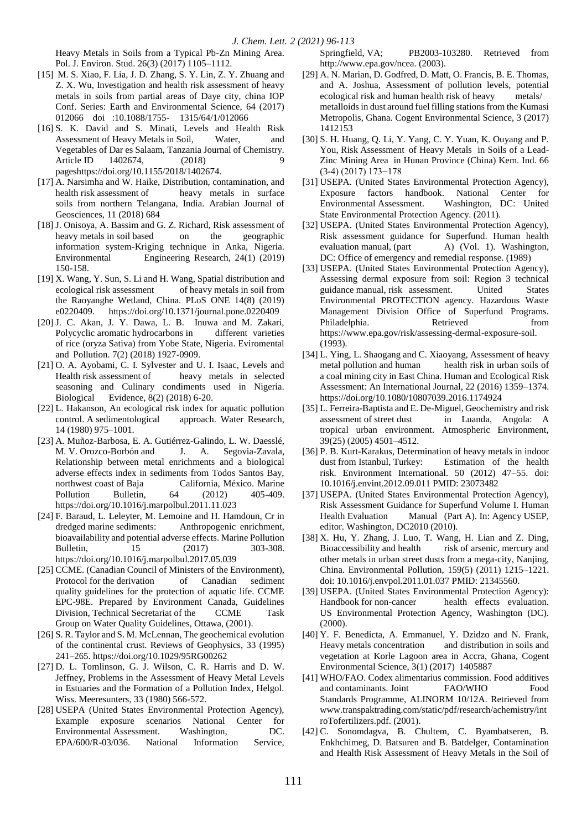Heavy Metals in Soils from a Typical Pb-Zn Mining Area. Pol. J. Environ. Stud. 26(3) (2017) 1105–1112.

- [15] M. S. Xiao, F. Lia, J. D. Zhang, S. Y. Lin, Z. Y. Zhuang and Z. X. Wu, Investigation and health risk assessment of heavy metals in soils from partial areas of Daye city, china IOP Conf. Series: Earth and Environmental Science, 64 (2017) 012066 doi :10.1088/1755- 1315/64/1/012066
- [16] S. K. David and S. Minati, Levels and Health Risk Assessment of Heavy Metals in Soil, Water, and Vegetables of Dar es Salaam, Tanzania Journal of Chemistry. Article ID 1402674, (2018) 9 pageshttps://doi.org/10.1155/2018/1402674.
- [17] A. Narsimha and W. Haike, Distribution, contamination, and health risk assessment of heavy metals in surface soils from northern Telangana, India. Arabian Journal of Geosciences, 11 (2018) 684
- [18] J. Onisoya, A. Bassim and G. Z. Richard, Risk assessment of heavy metals in soil based on the geographic information system-Kriging technique in Anka, Nigeria. Environmental Engineering Research, 24(1) (2019) 150-158.
- [19] X. Wang, Y. Sun, S. Li and H. Wang, Spatial distribution and ecological risk assessment of heavy metals in soil from the Raoyanghe Wetland, China. PLoS ONE 14(8) (2019) e0220409. https://doi.org/10.1371/journal.pone.0220409
- [20] J. C. Akan, J. Y. Dawa, L. B. Inuwa and M. Zakari, Polycyclic aromatic hydrocarbons in different varieties of rice (oryza Sativa) from Yobe State, Nigeria. Eviromental and Pollution. 7(2) (2018) 1927-0909.
- [21] O. A. Ayobami, C. I. Sylvester and U. I. Isaac, Levels and Health risk assessment of heavy metals in selected seasoning and Culinary condiments used in Nigeria. Biological Evidence, 8(2) (2018) 6-20.
- [22] L. Hakanson, An ecological risk index for aquatic pollution control. A sedimentological approach. Water Research, 14 (1980) 975–1001.
- [23] A. Muñoz-Barbosa, E. A. Gutiérrez-Galindo, L. W. Daesslé, M. V. Orozco-Borbón and J. A. Segovia-Zavala, Relationship between metal enrichments and a biological adverse effects index in sediments from Todos Santos Bay, northwest coast of Baja California, México. Marine Pollution Bulletin, 64 (2012) 405-409. https://doi.org/10.1016/j.marpolbul.2011.11.023
- [24] F. Baraud, L. Leleyter, M. Lemoine and H. Hamdoun, Cr in dredged marine sediments: Anthropogenic enrichment, bioavailability and potential adverse effects. Marine Pollution Bulletin, 15 (2017) 303-308. https://doi.org/10.1016/j.marpolbul.2017.05.039
- [25] CCME. (Canadian Council of Ministers of the Environment), Protocol for the derivation of Canadian sediment quality guidelines for the protection of aquatic life. CCME EPC-98E. Prepared by Environment Canada, Guidelines Division, Technical Secretariat of the CCME Task Group on Water Quality Guidelines, Ottawa, (2001).
- [26] S. R. Taylor and S. M. McLennan, The geochemical evolution of the continental crust. Reviews of Geophysics, 33 (1995) 241–265. https://doi.org/10.1029/95RG00262
- [27] D. L. Tomlinson, G. J. Wilson, C. R. Harris and D. W. Jeffney, Problems in the Assessment of Heavy Metal Levels in Estuaries and the Formation of a Pollution Index, Helgol. Wiss. Meeresunters, 33 (1980) 566-572.
- [28] USEPA (United States Environmental Protection Agency), Example exposure scenarios National Center for Environmental Assessment. Washington, DC. EPA/600/R-03/036. National Information Service,

Springfield, VA; PB2003-103280. Retrieved from http://www.epa.gov/ncea. (2003).

- [29] A. N. Marian, D. Godfred, D. Matt, O. Francis, B. E. Thomas, and A. Joshua, Assessment of pollution levels, potential ecological risk and human health risk of heavy metals/ metalloids in dust around fuel filling stations from the Kumasi Metropolis, Ghana. Cogent Environmental Science, 3 (2017) 1412153
- [30] S. H. Huang, Q. Li, Y. Yang, C. Y. Yuan, K. Ouyang and P. You, Risk Assessment of Heavy Metals in Soils of a Lead-Zinc Mining Area in Hunan Province (China) Kem. Ind. 66 (3-4) (2017) 173−178
- [31] USEPA. (United States Environmental Protection Agency), Exposure factors handbook. National Center for Environmental Assessment. Washington, DC: United State Environmental Protection Agency. (2011).
- [32] USEPA. (United States Environmental Protection Agency), Risk assessment guidance for Superfund. Human health evaluation manual, (part A) (Vol. 1). Washington, DC: Office of emergency and remedial response. (1989)
- [33] USEPA. (United States Environmental Protection Agency), Assessing dermal exposure from soil: Region 3 technical guidance manual, risk assessment. United States Environmental PROTECTION agency. Hazardous Waste Management Division Office of Superfund Programs. Philadelphia. Retrieved from https://www.epa.gov/risk/assessing-dermal-exposure-soil. (1993).
- [34] L. Ying, L. Shaogang and C. Xiaoyang, Assessment of heavy metal pollution and human health risk in urban soils of a coal mining city in East China. Human and Ecological Risk Assessment: An International Journal, 22 (2016) 1359–1374. https://doi.org/10.1080/10807039.2016.1174924
- [35] L. Ferreira-Baptista and E. De-Miguel, Geochemistry and risk assessment of street dust in Luanda, Angola: A tropical urban environment. Atmospheric Environment, 39(25) (2005) 4501–4512.
- [36] P. B. Kurt-Karakus, Determination of heavy metals in indoor dust from Istanbul, Turkey: Estimation of the health risk. Environment International. 50 (2012) 47–55. doi: 10.1016/j.envint.2012.09.011 PMID: 23073482
- [37] USEPA. (United States Environmental Protection Agency), Risk Assessment Guidance for Superfund Volume I. Human Health Evaluation Manual (Part A). In: Agency USEP, editor. Washington, DC2010 (2010).
- [38] X. Hu, Y. Zhang, J. Luo, T. Wang, H. Lian and Z. Ding, Bioaccessibility and health risk of arsenic, mercury and other metals in urban street dusts from a mega-city, Nanjing, China. Environmental Pollution, 159(5) (2011) 1215–1221. doi: 10.1016/j.envpol.2011.01.037 PMID: 21345560.
- [39] USEPA. (United States Environmental Protection Agency): Handbook for non-cancer health effects evaluation. US Environmental Protection Agency, Washington (DC). (2000).
- [40] Y. F. Benedicta, A. Emmanuel, Y. Dzidzo and N. Frank, Heavy metals concentration and distribution in soils and vegetation at Korle Lagoon area in Accra, Ghana, Cogent Environmental Science, 3(1) (2017) 1405887
- [41] WHO/FAO. Codex alimentarius commission. Food additives and contaminants. Joint FAO/WHO Food Standards Programme, ALINORM 10/12A. Retrieved from www.transpaktrading.com/static/pdf/research/achemistry/int roTofertilizers.pdf. (2001).
- [42] C. Sonomdagva, B. Chultem, C. Byambatseren, B. Enkhchimeg, D. Batsuren and B. Batdelger, Contamination and Health Risk Assessment of Heavy Metals in the Soil of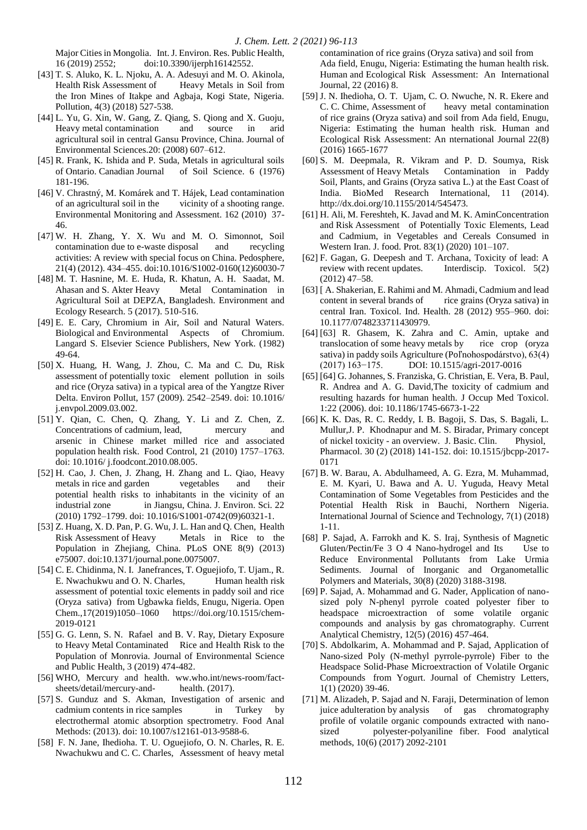Major Cities in Mongolia. Int. J. Environ. Res. Public Health, 16 (2019) 2552; doi:10.3390/ijerph16142552.

- [43] T. S. Aluko, K. L. Njoku, A. A. Adesuyi and M. O. Akinola, Health Risk Assessment of Heavy Metals in Soil from the Iron Mines of Itakpe and Agbaja, Kogi State, Nigeria. Pollution, 4(3) (2018) 527-538.
- [44] L. Yu, G. Xin, W. Gang, Z. Qiang, S. Qiong and X. Guoju, Heavy metal contamination and source in arid agricultural soil in central Gansu Province, China. Journal of Environmental Sciences.20: (2008) 607–612.
- [45] R. Frank, K. Ishida and P. Suda, Metals in agricultural soils of Ontario. Canadian Journal of Soil Science. 6 (1976) 181-196.
- [46] V. Chrastný, M. Komárek and T. Hájek, Lead contamination of an agricultural soil in the vicinity of a shooting range. Environmental Monitoring and Assessment. 162 (2010) 37- 46.
- [47] W. H. Zhang, Y. X. Wu and M. O. Simonnot, Soil contamination due to e-waste disposal and recycling activities: A review with special focus on China. Pedosphere, 21(4) (2012). 434–455. doi:10.1016/S1002-0160(12)60030-7
- [48] M. T. Hasnine, M. E. Huda, R. Khatun, A. H. Saadat, M. Ahasan and S. Akter Heavy Metal Contamination in Agricultural Soil at DEPZA, Bangladesh. Environment and Ecology Research. 5 (2017). 510-516.
- [49] E. E. Cary, Chromium in Air, Soil and Natural Waters. Biological and Environmental Aspects of Chromium. Langard S. Elsevier Science Publishers, New York. (1982) 49-64.
- [50] X. Huang, H. Wang, J. Zhou, C. Ma and C. Du, Risk assessment of potentially toxic element pollution in soils and rice (Oryza sativa) in a typical area of the Yangtze River Delta. Environ Pollut, 157 (2009). 2542–2549. doi: 10.1016/ j.envpol.2009.03.002.
- [51] Y. Qian, C. Chen, Q. Zhang, Y. Li and Z. Chen, Z. Concentrations of cadmium, lead, mercury and arsenic in Chinese market milled rice and associated population health risk. Food Control, 21 (2010) 1757–1763. doi: 10.1016/ j.foodcont.2010.08.005.
- [52] H. Cao, J. Chen, J. Zhang, H. Zhang and L. Qiao, Heavy metals in rice and garden vegetables and their potential health risks to inhabitants in the vicinity of an industrial zone in Jiangsu, China. J. Environ. Sci. 22 (2010) 1792–1799. doi: 10.1016/S1001-0742(09)60321-1.
- [53] Z. Huang, X. D. Pan, P. G. Wu, J. L. Han and Q. Chen, Health Risk Assessment of Heavy Metals in Rice to the Population in Zhejiang, China. PLoS ONE 8(9) (2013) e75007. doi:10.1371/journal.pone.0075007.
- [54] C. E. Chidinma, N. I. Janefrances, T. Oguejiofo, T. Ujam., R. E. Nwachukwu and O. N. Charles, Human health risk assessment of potential toxic elements in paddy soil and rice (Oryza sativa) from Ugbawka fields, Enugu, Nigeria. Open Chem.,17(2019)1050–1060 https://doi.org/10.1515/chem-2019-0121
- [55] G. G. Lenn, S. N. Rafael and B. V. Ray, Dietary Exposure to Heavy Metal Contaminated Rice and Health Risk to the Population of Monrovia. Journal of Environmental Science and Public Health, 3 (2019) 474-482.
- [56] WHO, Mercury and health. ww.who.int/news-room/factsheets/detail/mercury-and- health. (2017).
- [57] S. Gunduz and S. Akman, Investigation of arsenic and cadmium contents in rice samples in Turkey by electrothermal atomic absorption spectrometry. Food Anal Methods: (2013). doi: 10.1007/s12161-013-9588-6.
- [58] F. N. Jane, Ihedioha. T. U. Oguejiofo, O. N. Charles, R. E. Nwachukwu and C. C. Charles, Assessment of heavy metal

contamination of rice grains (Oryza sativa) and soil from Ada field, Enugu, Nigeria: Estimating the human health risk. Human and Ecological Risk Assessment: An International Journal, 22 (2016) 8.

- [59] J. N. Ihedioha, O. T. Ujam, C. O. Nwuche, N. R. Ekere and C. C. Chime, Assessment of heavy metal contamination of rice grains (Oryza sativa) and soil from Ada field, Enugu, Nigeria: Estimating the human health risk. Human and Ecological Risk Assessment: An nternational Journal 22(8) (2016) 1665-1677
- [60] S. M. Deepmala, R. Vikram and P. D. Soumya, Risk Assessment of Heavy Metals Contamination in Paddy Soil, Plants, and Grains (Oryza sativa L.) at the East Coast of India. BioMed Research International, 11 (2014). http://dx.doi.org/10.1155/2014/545473.
- [61] H. Ali, M. Fereshteh, K. Javad and M. K. AminConcentration and Risk Assessment of Potentially Toxic Elements, Lead and Cadmium, in Vegetables and Cereals Consumed in Western Iran. J. food. Prot. 83(1) (2020) 101–107.
- [62] F. Gagan, G. Deepesh and T. Archana, Toxicity of lead: A review with recent updates. Interdiscip. Toxicol. 5(2) (2012) 47–58.
- [63] [ A. Shakerian, E. Rahimi and M. Ahmadi, Cadmium and lead content in several brands of rice grains (Oryza sativa) in central Iran. Toxicol. Ind. Health. 28 (2012) 955–960. doi: 10.1177/0748233711430979.
- [64] [63] R. Ghasem, K. Zahra and C. Amin, uptake and translocation of some heavy metals by rice crop (oryza sativa) in paddy soils Agriculture (Poľnohospodárstvo), 63(4) (2017) 163−175. DOI: 10.1515/agri-2017-0016
- [65] [64] G. Johannes, S. Franziska, G. Christian, E. Vera, B. Paul, R. Andrea and A. G. David,The toxicity of cadmium and resulting hazards for human health. J Occup Med Toxicol. 1:22 (2006). doi: 10.1186/1745-6673-1-22
- [66] K. K. Das, R. C. Reddy, I. B. Bagoji, S. Das, S. Bagali, L. Mullur,J. P. Khodnapur and M. S. Biradar, Primary concept of nickel toxicity - an overview. J. Basic. Clin. Physiol, Pharmacol. 30 (2) (2018) 141-152. doi: 10.1515/jbcpp-2017- 0171
- [67] B. W. Barau, A. Abdulhameed, A. G. Ezra, M. Muhammad, E. M. Kyari, U. Bawa and A. U. Yuguda, Heavy Metal Contamination of Some Vegetables from Pesticides and the Potential Health Risk in Bauchi, Northern Nigeria. International Journal of Science and Technology, 7(1) (2018) 1-11.
- [68] P. Sajad, A. Farrokh and K. S. Iraj, Synthesis of Magnetic Gluten/Pectin/Fe 3 O 4 Nano-hydrogel and Its Use to Reduce Environmental Pollutants from Lake Urmia Sediments. Journal of Inorganic and Organometallic Polymers and Materials, 30(8) (2020) 3188-3198.
- [69] P. Sajad, A. Mohammad and G. Nader, Application of nanosized poly N-phenyl pyrrole coated polyester fiber to headspace microextraction of some volatile organic compounds and analysis by gas chromatography. Current Analytical Chemistry, 12(5) (2016) 457-464.
- [70] S. Abdolkarim, A. Mohammad and P. Sajad, Application of Nano-sized Poly (N-methyl pyrrole-pyrrole) Fiber to the Headspace Solid-Phase Microextraction of Volatile Organic Compounds from Yogurt. Journal of Chemistry Letters, 1(1) (2020) 39-46.
- [71] M. Alizadeh, P. Sajad and N. Faraji, Determination of lemon juice adulteration by analysis of gas chromatography profile of volatile organic compounds extracted with nanosized polyester-polyaniline fiber. Food analytical methods, 10(6) (2017) 2092-2101